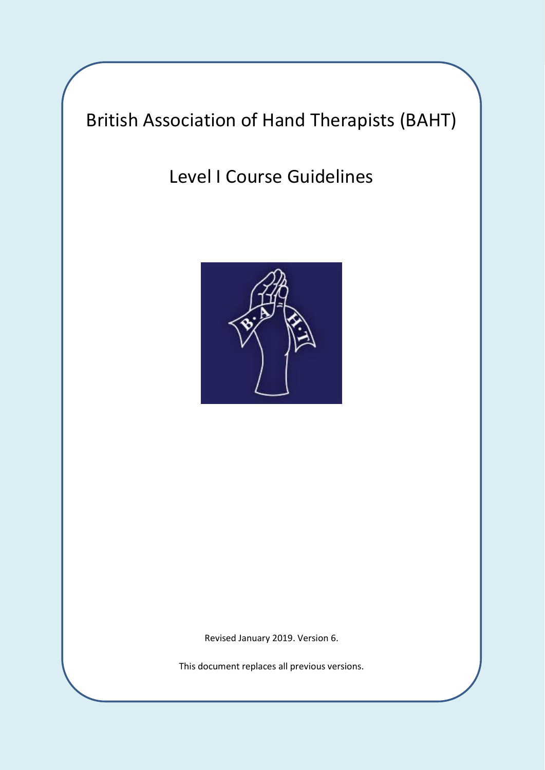# British Association of Hand Therapists (BAHT)

Level I Course Guidelines



Revised January 2019. Version 6.

This document replaces all previous versions.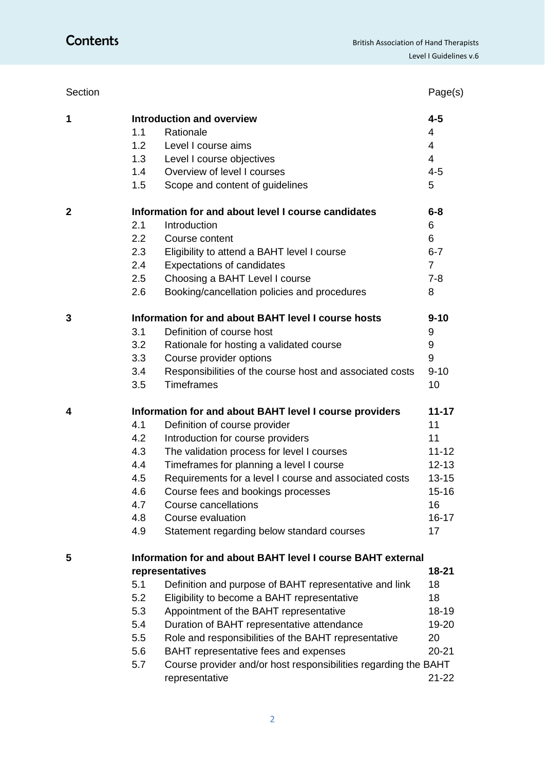| Section      |                                                             |                                                                 | Page(s)        |  |  |  |
|--------------|-------------------------------------------------------------|-----------------------------------------------------------------|----------------|--|--|--|
| 1            |                                                             | <b>Introduction and overview</b>                                | $4 - 5$        |  |  |  |
|              | 1.1                                                         | Rationale                                                       | 4              |  |  |  |
|              | 1.2                                                         | Level I course aims                                             | $\overline{4}$ |  |  |  |
|              | 1.3                                                         | Level I course objectives                                       | $\overline{4}$ |  |  |  |
|              | 1.4                                                         | Overview of level I courses                                     | $4 - 5$        |  |  |  |
|              | 1.5                                                         | Scope and content of guidelines                                 | 5              |  |  |  |
| $\mathbf{2}$ | Information for and about level I course candidates         |                                                                 |                |  |  |  |
|              | 2.1                                                         | Introduction                                                    | 6              |  |  |  |
|              | 2.2                                                         | Course content                                                  | 6              |  |  |  |
|              | 2.3                                                         | Eligibility to attend a BAHT level I course                     | $6 - 7$        |  |  |  |
|              | 2.4                                                         | <b>Expectations of candidates</b>                               | $\overline{7}$ |  |  |  |
|              | 2.5                                                         | Choosing a BAHT Level I course                                  | $7 - 8$        |  |  |  |
|              | 2.6                                                         | Booking/cancellation policies and procedures                    | 8              |  |  |  |
| 3            |                                                             | Information for and about BAHT level I course hosts             | $9 - 10$       |  |  |  |
|              | 3.1                                                         | Definition of course host                                       | 9              |  |  |  |
|              | 3.2                                                         | Rationale for hosting a validated course                        | 9              |  |  |  |
|              | 3.3                                                         | Course provider options                                         | 9              |  |  |  |
|              | 3.4                                                         | Responsibilities of the course host and associated costs        | $9 - 10$       |  |  |  |
|              | 3.5                                                         | <b>Timeframes</b>                                               | 10             |  |  |  |
| 4            |                                                             | Information for and about BAHT level I course providers         | $11 - 17$      |  |  |  |
|              | 4.1                                                         | Definition of course provider                                   | 11             |  |  |  |
|              | 4.2                                                         | Introduction for course providers                               | 11             |  |  |  |
|              | 4.3                                                         | The validation process for level I courses                      | $11 - 12$      |  |  |  |
|              | 4.4                                                         | Timeframes for planning a level I course                        | $12 - 13$      |  |  |  |
|              | 4.5                                                         | Requirements for a level I course and associated costs          | $13 - 15$      |  |  |  |
|              | 4.6                                                         | Course fees and bookings processes                              | $15 - 16$      |  |  |  |
|              | 4.7                                                         | Course cancellations                                            | 16             |  |  |  |
|              | 4.8                                                         | Course evaluation                                               | $16 - 17$      |  |  |  |
|              | 4.9                                                         | Statement regarding below standard courses                      | 17             |  |  |  |
| 5            | Information for and about BAHT level I course BAHT external |                                                                 |                |  |  |  |
|              |                                                             | representatives                                                 | 18-21          |  |  |  |
|              | 5.1                                                         | Definition and purpose of BAHT representative and link          | 18             |  |  |  |
|              | 5.2                                                         | Eligibility to become a BAHT representative                     | 18             |  |  |  |
|              | 5.3                                                         | Appointment of the BAHT representative                          | $18 - 19$      |  |  |  |
|              | 5.4                                                         | Duration of BAHT representative attendance                      | 19-20          |  |  |  |
|              | 5.5                                                         | Role and responsibilities of the BAHT representative            | 20             |  |  |  |
|              | 5.6                                                         | BAHT representative fees and expenses                           | $20 - 21$      |  |  |  |
|              | 5.7                                                         | Course provider and/or host responsibilities regarding the BAHT |                |  |  |  |
|              |                                                             | representative                                                  | $21 - 22$      |  |  |  |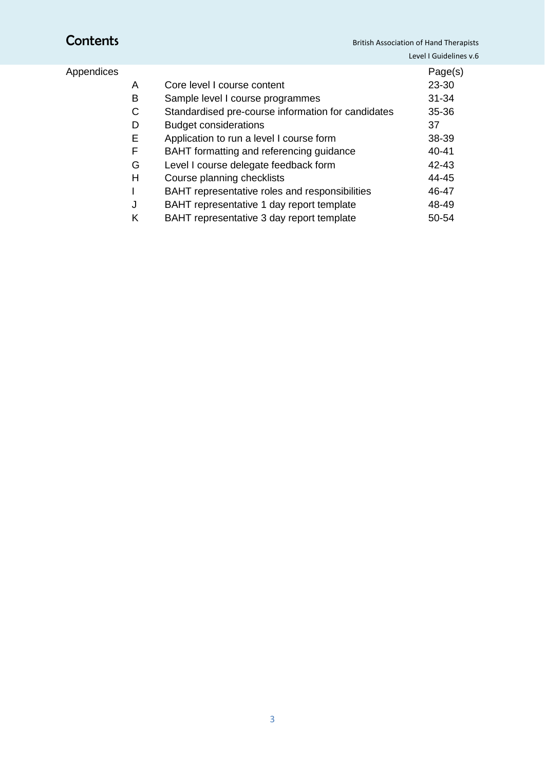## Appendices

|   |                                                    | Page(s)   |
|---|----------------------------------------------------|-----------|
| A | Core level I course content                        | 23-30     |
| В | Sample level I course programmes                   | $31 - 34$ |
| C | Standardised pre-course information for candidates | $35 - 36$ |
| D | <b>Budget considerations</b>                       | 37        |
| Ε | Application to run a level I course form           | 38-39     |
| F | BAHT formatting and referencing guidance           | $40 - 41$ |
| G | Level I course delegate feedback form              | $42 - 43$ |
| н | Course planning checklists                         | 44-45     |
|   | BAHT representative roles and responsibilities     | 46-47     |
| J | BAHT representative 1 day report template          | 48-49     |
| κ | BAHT representative 3 day report template          | 50-54     |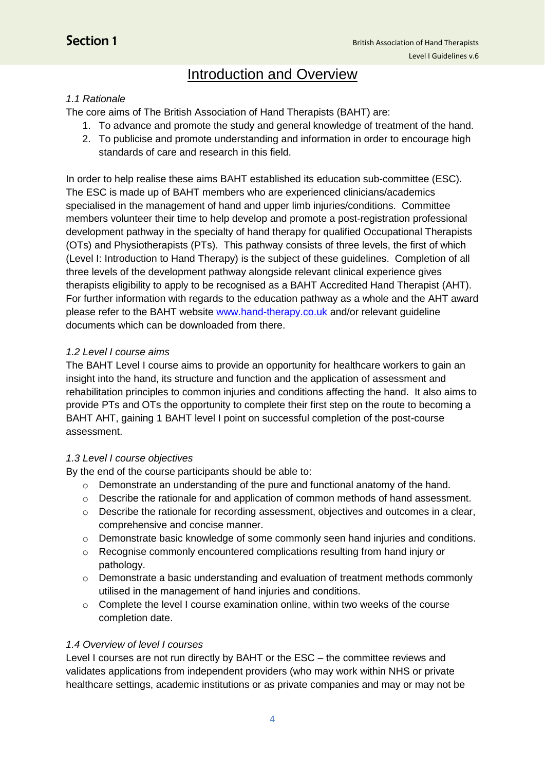## **Introduction and Overview**

#### *1.1 Rationale*

The core aims of The British Association of Hand Therapists (BAHT) are:

- 1. To advance and promote the study and general knowledge of treatment of the hand.
- 2. To publicise and promote understanding and information in order to encourage high standards of care and research in this field.

In order to help realise these aims BAHT established its education sub-committee (ESC). The ESC is made up of BAHT members who are experienced clinicians/academics specialised in the management of hand and upper limb injuries/conditions. Committee members volunteer their time to help develop and promote a post-registration professional development pathway in the specialty of hand therapy for qualified Occupational Therapists (OTs) and Physiotherapists (PTs). This pathway consists of three levels, the first of which (Level I: Introduction to Hand Therapy) is the subject of these guidelines. Completion of all three levels of the development pathway alongside relevant clinical experience gives therapists eligibility to apply to be recognised as a BAHT Accredited Hand Therapist (AHT). For further information with regards to the education pathway as a whole and the AHT award please refer to the BAHT website [www.hand-therapy.co.uk](http://www.hand-therapy.co.uk/) and/or relevant guideline documents which can be downloaded from there.

#### *1.2 Level I course aims*

The BAHT Level I course aims to provide an opportunity for healthcare workers to gain an insight into the hand, its structure and function and the application of assessment and rehabilitation principles to common injuries and conditions affecting the hand. It also aims to provide PTs and OTs the opportunity to complete their first step on the route to becoming a BAHT AHT, gaining 1 BAHT level I point on successful completion of the post-course assessment.

#### *1.3 Level I course objectives*

By the end of the course participants should be able to:

- o Demonstrate an understanding of the pure and functional anatomy of the hand.
- $\circ$  Describe the rationale for and application of common methods of hand assessment.
- $\circ$  Describe the rationale for recording assessment, objectives and outcomes in a clear, comprehensive and concise manner.
- $\circ$  Demonstrate basic knowledge of some commonly seen hand injuries and conditions.
- o Recognise commonly encountered complications resulting from hand injury or pathology.
- o Demonstrate a basic understanding and evaluation of treatment methods commonly utilised in the management of hand injuries and conditions.
- o Complete the level I course examination online, within two weeks of the course completion date.

#### *1.4 Overview of level I courses*

Level I courses are not run directly by BAHT or the ESC – the committee reviews and validates applications from independent providers (who may work within NHS or private healthcare settings, academic institutions or as private companies and may or may not be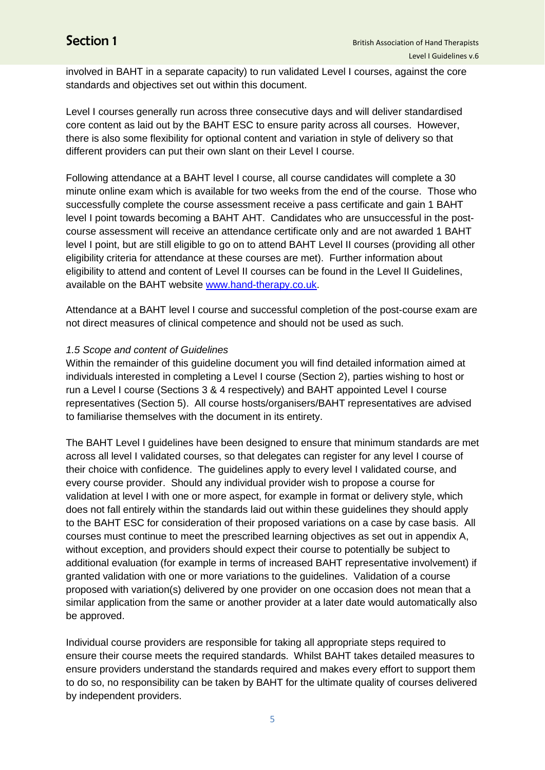involved in BAHT in a separate capacity) to run validated Level I courses, against the core standards and objectives set out within this document.

Level I courses generally run across three consecutive days and will deliver standardised core content as laid out by the BAHT ESC to ensure parity across all courses. However, there is also some flexibility for optional content and variation in style of delivery so that different providers can put their own slant on their Level I course.

Following attendance at a BAHT level I course, all course candidates will complete a 30 minute online exam which is available for two weeks from the end of the course. Those who successfully complete the course assessment receive a pass certificate and gain 1 BAHT level I point towards becoming a BAHT AHT. Candidates who are unsuccessful in the postcourse assessment will receive an attendance certificate only and are not awarded 1 BAHT level I point, but are still eligible to go on to attend BAHT Level II courses (providing all other eligibility criteria for attendance at these courses are met). Further information about eligibility to attend and content of Level II courses can be found in the Level II Guidelines, available on the BAHT website [www.hand-therapy.co.uk.](http://www.hand-therapy.co.uk/)

Attendance at a BAHT level I course and successful completion of the post-course exam are not direct measures of clinical competence and should not be used as such.

#### *1.5 Scope and content of Guidelines*

Within the remainder of this guideline document you will find detailed information aimed at individuals interested in completing a Level I course (Section 2), parties wishing to host or run a Level I course (Sections 3 & 4 respectively) and BAHT appointed Level I course representatives (Section 5). All course hosts/organisers/BAHT representatives are advised to familiarise themselves with the document in its entirety.

The BAHT Level I guidelines have been designed to ensure that minimum standards are met across all level I validated courses, so that delegates can register for any level I course of their choice with confidence. The guidelines apply to every level I validated course, and every course provider. Should any individual provider wish to propose a course for validation at level I with one or more aspect, for example in format or delivery style, which does not fall entirely within the standards laid out within these guidelines they should apply to the BAHT ESC for consideration of their proposed variations on a case by case basis. All courses must continue to meet the prescribed learning objectives as set out in appendix A, without exception, and providers should expect their course to potentially be subject to additional evaluation (for example in terms of increased BAHT representative involvement) if granted validation with one or more variations to the guidelines. Validation of a course proposed with variation(s) delivered by one provider on one occasion does not mean that a similar application from the same or another provider at a later date would automatically also be approved.

Individual course providers are responsible for taking all appropriate steps required to ensure their course meets the required standards. Whilst BAHT takes detailed measures to ensure providers understand the standards required and makes every effort to support them to do so, no responsibility can be taken by BAHT for the ultimate quality of courses delivered by independent providers.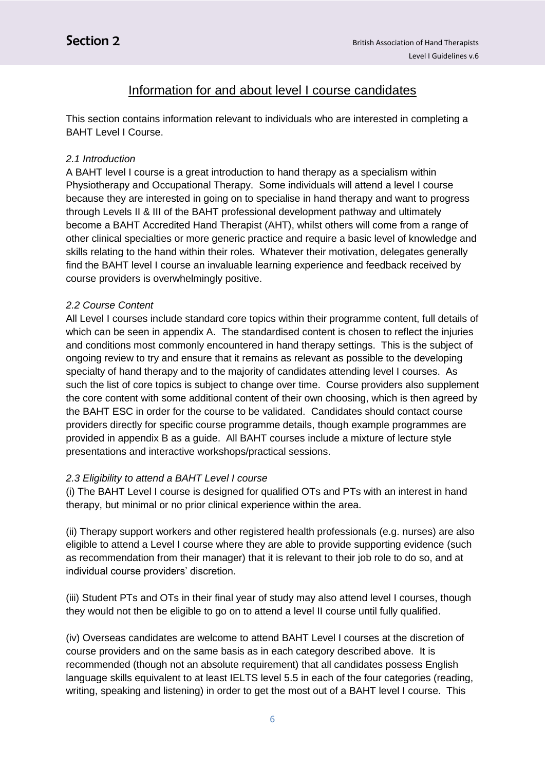## Information for and about level I course candidates

This section contains information relevant to individuals who are interested in completing a BAHT Level I Course.

### *2.1 Introduction*

A BAHT level I course is a great introduction to hand therapy as a specialism within Physiotherapy and Occupational Therapy. Some individuals will attend a level I course because they are interested in going on to specialise in hand therapy and want to progress through Levels II & III of the BAHT professional development pathway and ultimately become a BAHT Accredited Hand Therapist (AHT), whilst others will come from a range of other clinical specialties or more generic practice and require a basic level of knowledge and skills relating to the hand within their roles. Whatever their motivation, delegates generally find the BAHT level I course an invaluable learning experience and feedback received by course providers is overwhelmingly positive.

### *2.2 Course Content*

All Level I courses include standard core topics within their programme content, full details of which can be seen in appendix A. The standardised content is chosen to reflect the injuries and conditions most commonly encountered in hand therapy settings. This is the subject of ongoing review to try and ensure that it remains as relevant as possible to the developing specialty of hand therapy and to the majority of candidates attending level I courses. As such the list of core topics is subject to change over time. Course providers also supplement the core content with some additional content of their own choosing, which is then agreed by the BAHT ESC in order for the course to be validated. Candidates should contact course providers directly for specific course programme details, though example programmes are provided in appendix B as a guide. All BAHT courses include a mixture of lecture style presentations and interactive workshops/practical sessions.

### *2.3 Eligibility to attend a BAHT Level I course*

(i) The BAHT Level I course is designed for qualified OTs and PTs with an interest in hand therapy, but minimal or no prior clinical experience within the area.

(ii) Therapy support workers and other registered health professionals (e.g. nurses) are also eligible to attend a Level I course where they are able to provide supporting evidence (such as recommendation from their manager) that it is relevant to their job role to do so, and at individual course providers' discretion.

(iii) Student PTs and OTs in their final year of study may also attend level I courses, though they would not then be eligible to go on to attend a level II course until fully qualified.

(iv) Overseas candidates are welcome to attend BAHT Level I courses at the discretion of course providers and on the same basis as in each category described above. It is recommended (though not an absolute requirement) that all candidates possess English language skills equivalent to at least IELTS level 5.5 in each of the four categories (reading, writing, speaking and listening) in order to get the most out of a BAHT level I course. This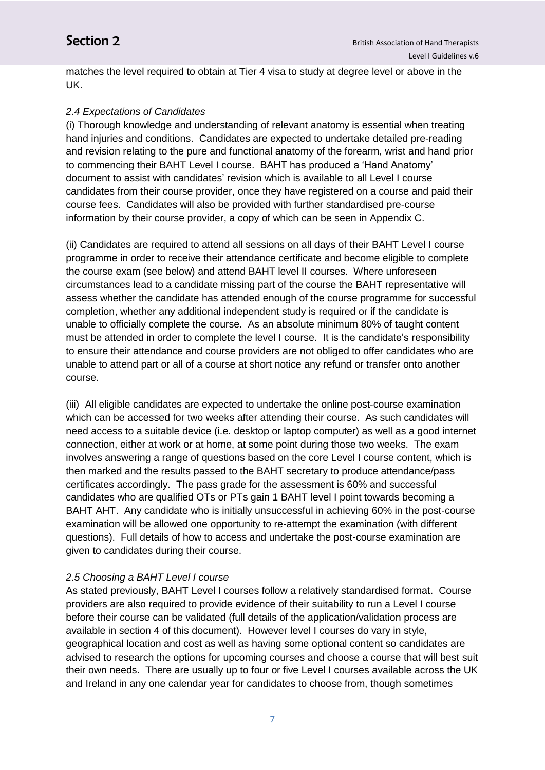matches the level required to obtain at Tier 4 visa to study at degree level or above in the UK.

#### *2.4 Expectations of Candidates*

(i) Thorough knowledge and understanding of relevant anatomy is essential when treating hand injuries and conditions. Candidates are expected to undertake detailed pre-reading and revision relating to the pure and functional anatomy of the forearm, wrist and hand prior to commencing their BAHT Level I course. BAHT has produced a 'Hand Anatomy' document to assist with candidates' revision which is available to all Level I course candidates from their course provider, once they have registered on a course and paid their course fees. Candidates will also be provided with further standardised pre-course information by their course provider, a copy of which can be seen in Appendix C.

(ii) Candidates are required to attend all sessions on all days of their BAHT Level I course programme in order to receive their attendance certificate and become eligible to complete the course exam (see below) and attend BAHT level II courses. Where unforeseen circumstances lead to a candidate missing part of the course the BAHT representative will assess whether the candidate has attended enough of the course programme for successful completion, whether any additional independent study is required or if the candidate is unable to officially complete the course. As an absolute minimum 80% of taught content must be attended in order to complete the level I course. It is the candidate's responsibility to ensure their attendance and course providers are not obliged to offer candidates who are unable to attend part or all of a course at short notice any refund or transfer onto another course.

(iii) All eligible candidates are expected to undertake the online post-course examination which can be accessed for two weeks after attending their course. As such candidates will need access to a suitable device (i.e. desktop or laptop computer) as well as a good internet connection, either at work or at home, at some point during those two weeks. The exam involves answering a range of questions based on the core Level I course content, which is then marked and the results passed to the BAHT secretary to produce attendance/pass certificates accordingly. The pass grade for the assessment is 60% and successful candidates who are qualified OTs or PTs gain 1 BAHT level I point towards becoming a BAHT AHT. Any candidate who is initially unsuccessful in achieving 60% in the post-course examination will be allowed one opportunity to re-attempt the examination (with different questions). Full details of how to access and undertake the post-course examination are given to candidates during their course.

#### *2.5 Choosing a BAHT Level I course*

As stated previously, BAHT Level I courses follow a relatively standardised format. Course providers are also required to provide evidence of their suitability to run a Level I course before their course can be validated (full details of the application/validation process are available in section 4 of this document). However level I courses do vary in style, geographical location and cost as well as having some optional content so candidates are advised to research the options for upcoming courses and choose a course that will best suit their own needs. There are usually up to four or five Level I courses available across the UK and Ireland in any one calendar year for candidates to choose from, though sometimes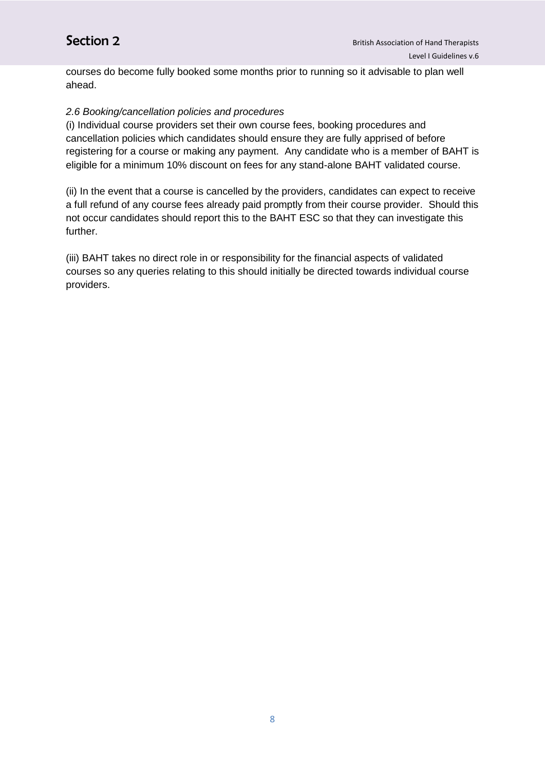courses do become fully booked some months prior to running so it advisable to plan well ahead.

#### *2.6 Booking/cancellation policies and procedures*

(i) Individual course providers set their own course fees, booking procedures and cancellation policies which candidates should ensure they are fully apprised of before registering for a course or making any payment. Any candidate who is a member of BAHT is eligible for a minimum 10% discount on fees for any stand-alone BAHT validated course.

(ii) In the event that a course is cancelled by the providers, candidates can expect to receive a full refund of any course fees already paid promptly from their course provider. Should this not occur candidates should report this to the BAHT ESC so that they can investigate this further.

(iii) BAHT takes no direct role in or responsibility for the financial aspects of validated courses so any queries relating to this should initially be directed towards individual course providers.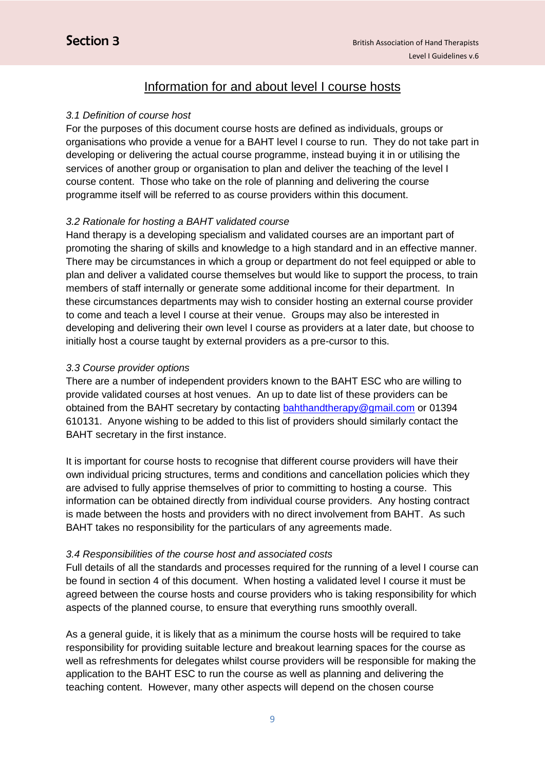## Information for and about level I course hosts

#### *3.1 Definition of course host*

For the purposes of this document course hosts are defined as individuals, groups or organisations who provide a venue for a BAHT level I course to run. They do not take part in developing or delivering the actual course programme, instead buying it in or utilising the services of another group or organisation to plan and deliver the teaching of the level I course content. Those who take on the role of planning and delivering the course programme itself will be referred to as course providers within this document.

#### *3.2 Rationale for hosting a BAHT validated course*

Hand therapy is a developing specialism and validated courses are an important part of promoting the sharing of skills and knowledge to a high standard and in an effective manner. There may be circumstances in which a group or department do not feel equipped or able to plan and deliver a validated course themselves but would like to support the process, to train members of staff internally or generate some additional income for their department. In these circumstances departments may wish to consider hosting an external course provider to come and teach a level I course at their venue. Groups may also be interested in developing and delivering their own level I course as providers at a later date, but choose to initially host a course taught by external providers as a pre-cursor to this.

#### *3.3 Course provider options*

There are a number of independent providers known to the BAHT ESC who are willing to provide validated courses at host venues. An up to date list of these providers can be obtained from the BAHT secretary by contacting [bahthandtherapy@gmail.com](mailto:bahthandtherapy@gmail.com) or 01394 610131. Anyone wishing to be added to this list of providers should similarly contact the BAHT secretary in the first instance.

It is important for course hosts to recognise that different course providers will have their own individual pricing structures, terms and conditions and cancellation policies which they are advised to fully apprise themselves of prior to committing to hosting a course. This information can be obtained directly from individual course providers. Any hosting contract is made between the hosts and providers with no direct involvement from BAHT. As such BAHT takes no responsibility for the particulars of any agreements made.

#### *3.4 Responsibilities of the course host and associated costs*

Full details of all the standards and processes required for the running of a level I course can be found in section 4 of this document. When hosting a validated level I course it must be agreed between the course hosts and course providers who is taking responsibility for which aspects of the planned course, to ensure that everything runs smoothly overall.

As a general guide, it is likely that as a minimum the course hosts will be required to take responsibility for providing suitable lecture and breakout learning spaces for the course as well as refreshments for delegates whilst course providers will be responsible for making the application to the BAHT ESC to run the course as well as planning and delivering the teaching content. However, many other aspects will depend on the chosen course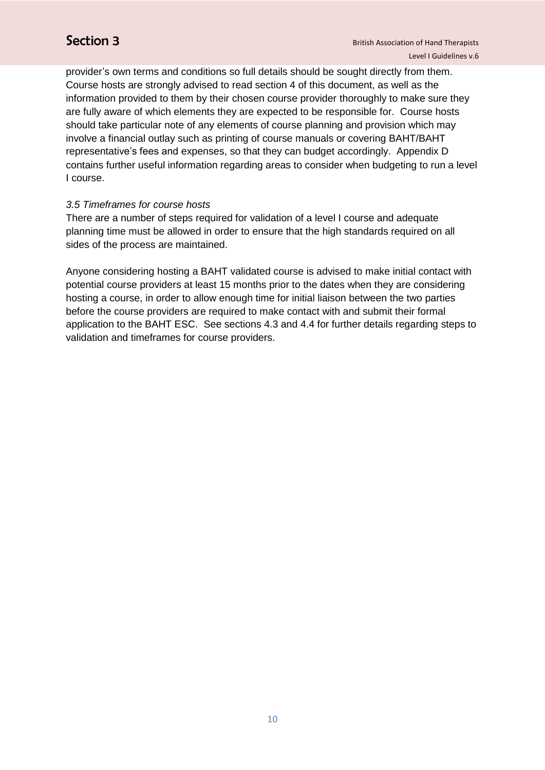provider's own terms and conditions so full details should be sought directly from them. Course hosts are strongly advised to read section 4 of this document, as well as the information provided to them by their chosen course provider thoroughly to make sure they are fully aware of which elements they are expected to be responsible for. Course hosts should take particular note of any elements of course planning and provision which may involve a financial outlay such as printing of course manuals or covering BAHT/BAHT representative's fees and expenses, so that they can budget accordingly. Appendix D contains further useful information regarding areas to consider when budgeting to run a level I course.

#### *3.5 Timeframes for course hosts*

There are a number of steps required for validation of a level I course and adequate planning time must be allowed in order to ensure that the high standards required on all sides of the process are maintained.

Anyone considering hosting a BAHT validated course is advised to make initial contact with potential course providers at least 15 months prior to the dates when they are considering hosting a course, in order to allow enough time for initial liaison between the two parties before the course providers are required to make contact with and submit their formal application to the BAHT ESC. See sections 4.3 and 4.4 for further details regarding steps to validation and timeframes for course providers.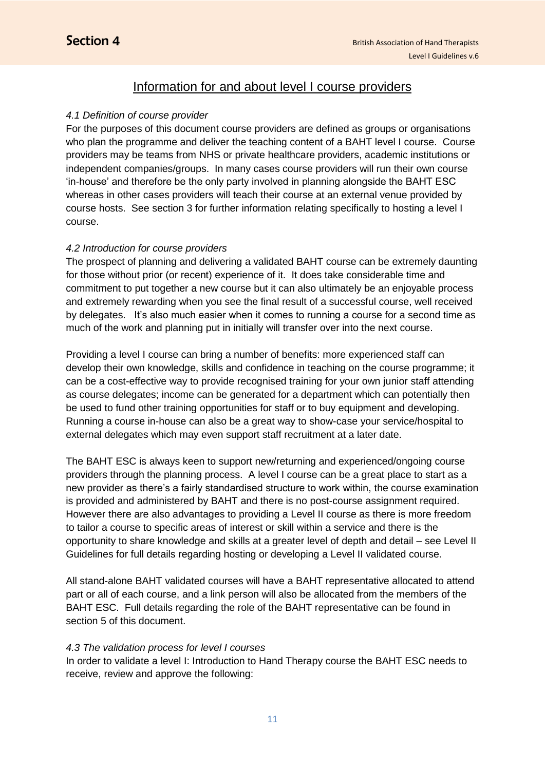## Information for and about level I course providers

#### *4.1 Definition of course provider*

For the purposes of this document course providers are defined as groups or organisations who plan the programme and deliver the teaching content of a BAHT level I course. Course providers may be teams from NHS or private healthcare providers, academic institutions or independent companies/groups. In many cases course providers will run their own course 'in-house' and therefore be the only party involved in planning alongside the BAHT ESC whereas in other cases providers will teach their course at an external venue provided by course hosts. See section 3 for further information relating specifically to hosting a level I course.

#### *4.2 Introduction for course providers*

The prospect of planning and delivering a validated BAHT course can be extremely daunting for those without prior (or recent) experience of it. It does take considerable time and commitment to put together a new course but it can also ultimately be an enjoyable process and extremely rewarding when you see the final result of a successful course, well received by delegates. It's also much easier when it comes to running a course for a second time as much of the work and planning put in initially will transfer over into the next course.

Providing a level I course can bring a number of benefits: more experienced staff can develop their own knowledge, skills and confidence in teaching on the course programme; it can be a cost-effective way to provide recognised training for your own junior staff attending as course delegates; income can be generated for a department which can potentially then be used to fund other training opportunities for staff or to buy equipment and developing. Running a course in-house can also be a great way to show-case your service/hospital to external delegates which may even support staff recruitment at a later date.

The BAHT ESC is always keen to support new/returning and experienced/ongoing course providers through the planning process. A level I course can be a great place to start as a new provider as there's a fairly standardised structure to work within, the course examination is provided and administered by BAHT and there is no post-course assignment required. However there are also advantages to providing a Level II course as there is more freedom to tailor a course to specific areas of interest or skill within a service and there is the opportunity to share knowledge and skills at a greater level of depth and detail – see Level II Guidelines for full details regarding hosting or developing a Level II validated course.

All stand-alone BAHT validated courses will have a BAHT representative allocated to attend part or all of each course, and a link person will also be allocated from the members of the BAHT ESC. Full details regarding the role of the BAHT representative can be found in section 5 of this document.

#### *4.3 The validation process for level I courses*

In order to validate a level I: Introduction to Hand Therapy course the BAHT ESC needs to receive, review and approve the following: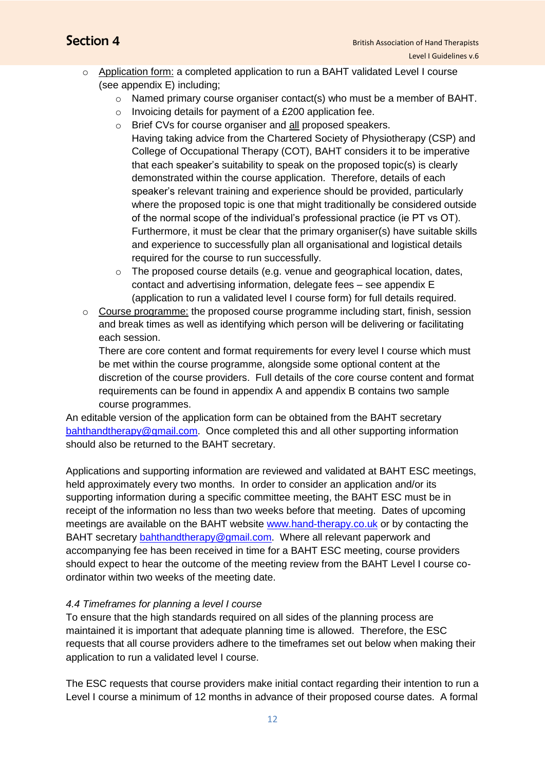- o Application form: a completed application to run a BAHT validated Level I course (see appendix E) including;
	- o Named primary course organiser contact(s) who must be a member of BAHT.
	- o Invoicing details for payment of a £200 application fee.
	- o Brief CVs for course organiser and all proposed speakers. Having taking advice from the Chartered Society of Physiotherapy (CSP) and College of Occupational Therapy (COT), BAHT considers it to be imperative that each speaker's suitability to speak on the proposed topic(s) is clearly demonstrated within the course application. Therefore, details of each speaker's relevant training and experience should be provided, particularly where the proposed topic is one that might traditionally be considered outside of the normal scope of the individual's professional practice (ie PT vs OT). Furthermore, it must be clear that the primary organiser(s) have suitable skills and experience to successfully plan all organisational and logistical details required for the course to run successfully.
	- $\circ$  The proposed course details (e.g. venue and geographical location, dates, contact and advertising information, delegate fees – see appendix E (application to run a validated level I course form) for full details required.
- o Course programme: the proposed course programme including start, finish, session and break times as well as identifying which person will be delivering or facilitating each session.

There are core content and format requirements for every level I course which must be met within the course programme, alongside some optional content at the discretion of the course providers. Full details of the core course content and format requirements can be found in appendix A and appendix B contains two sample course programmes.

An editable version of the application form can be obtained from the BAHT secretary [bahthandtherapy@gmail.com.](mailto:bahthandtherapy@gmail.com) Once completed this and all other supporting information should also be returned to the BAHT secretary.

Applications and supporting information are reviewed and validated at BAHT ESC meetings, held approximately every two months. In order to consider an application and/or its supporting information during a specific committee meeting, the BAHT ESC must be in receipt of the information no less than two weeks before that meeting. Dates of upcoming meetings are available on the BAHT website [www.hand-therapy.co.uk](http://www.hand-therapy.co.uk/) or by contacting the BAHT secretary [bahthandtherapy@gmail.com.](mailto:bahthandtherapy@gmail.com) Where all relevant paperwork and accompanying fee has been received in time for a BAHT ESC meeting, course providers should expect to hear the outcome of the meeting review from the BAHT Level I course coordinator within two weeks of the meeting date.

### *4.4 Timeframes for planning a level I course*

To ensure that the high standards required on all sides of the planning process are maintained it is important that adequate planning time is allowed. Therefore, the ESC requests that all course providers adhere to the timeframes set out below when making their application to run a validated level I course.

The ESC requests that course providers make initial contact regarding their intention to run a Level I course a minimum of 12 months in advance of their proposed course dates. A formal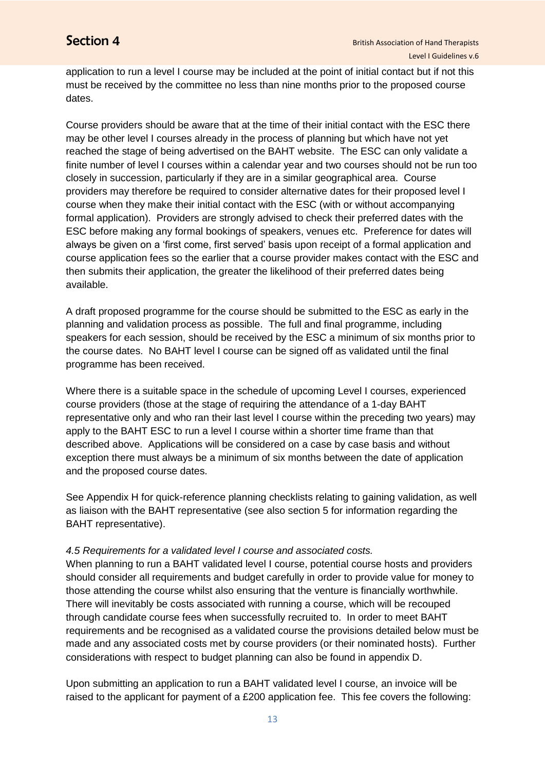application to run a level I course may be included at the point of initial contact but if not this must be received by the committee no less than nine months prior to the proposed course dates.

Course providers should be aware that at the time of their initial contact with the ESC there may be other level I courses already in the process of planning but which have not yet reached the stage of being advertised on the BAHT website. The ESC can only validate a finite number of level I courses within a calendar year and two courses should not be run too closely in succession, particularly if they are in a similar geographical area. Course providers may therefore be required to consider alternative dates for their proposed level I course when they make their initial contact with the ESC (with or without accompanying formal application). Providers are strongly advised to check their preferred dates with the ESC before making any formal bookings of speakers, venues etc. Preference for dates will always be given on a 'first come, first served' basis upon receipt of a formal application and course application fees so the earlier that a course provider makes contact with the ESC and then submits their application, the greater the likelihood of their preferred dates being available.

A draft proposed programme for the course should be submitted to the ESC as early in the planning and validation process as possible. The full and final programme, including speakers for each session, should be received by the ESC a minimum of six months prior to the course dates. No BAHT level I course can be signed off as validated until the final programme has been received.

Where there is a suitable space in the schedule of upcoming Level I courses, experienced course providers (those at the stage of requiring the attendance of a 1-day BAHT representative only and who ran their last level I course within the preceding two years) may apply to the BAHT ESC to run a level I course within a shorter time frame than that described above. Applications will be considered on a case by case basis and without exception there must always be a minimum of six months between the date of application and the proposed course dates.

See Appendix H for quick-reference planning checklists relating to gaining validation, as well as liaison with the BAHT representative (see also section 5 for information regarding the BAHT representative).

#### *4.5 Requirements for a validated level I course and associated costs.*

When planning to run a BAHT validated level I course, potential course hosts and providers should consider all requirements and budget carefully in order to provide value for money to those attending the course whilst also ensuring that the venture is financially worthwhile. There will inevitably be costs associated with running a course, which will be recouped through candidate course fees when successfully recruited to. In order to meet BAHT requirements and be recognised as a validated course the provisions detailed below must be made and any associated costs met by course providers (or their nominated hosts). Further considerations with respect to budget planning can also be found in appendix D.

Upon submitting an application to run a BAHT validated level I course, an invoice will be raised to the applicant for payment of a £200 application fee. This fee covers the following: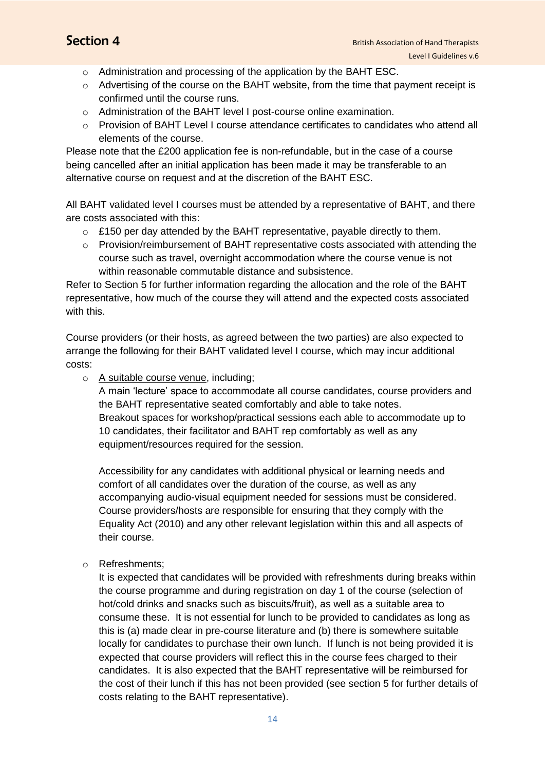- o Administration and processing of the application by the BAHT ESC.
- o Advertising of the course on the BAHT website, from the time that payment receipt is confirmed until the course runs.
- o Administration of the BAHT level I post-course online examination.
- o Provision of BAHT Level I course attendance certificates to candidates who attend all elements of the course.

Please note that the £200 application fee is non-refundable, but in the case of a course being cancelled after an initial application has been made it may be transferable to an alternative course on request and at the discretion of the BAHT ESC.

All BAHT validated level I courses must be attended by a representative of BAHT, and there are costs associated with this:

- o £150 per day attended by the BAHT representative, payable directly to them.
- o Provision/reimbursement of BAHT representative costs associated with attending the course such as travel, overnight accommodation where the course venue is not within reasonable commutable distance and subsistence.

Refer to Section 5 for further information regarding the allocation and the role of the BAHT representative, how much of the course they will attend and the expected costs associated with this.

Course providers (or their hosts, as agreed between the two parties) are also expected to arrange the following for their BAHT validated level I course, which may incur additional costs:

o A suitable course venue, including;

A main 'lecture' space to accommodate all course candidates, course providers and the BAHT representative seated comfortably and able to take notes. Breakout spaces for workshop/practical sessions each able to accommodate up to 10 candidates, their facilitator and BAHT rep comfortably as well as any equipment/resources required for the session.

Accessibility for any candidates with additional physical or learning needs and comfort of all candidates over the duration of the course, as well as any accompanying audio-visual equipment needed for sessions must be considered. Course providers/hosts are responsible for ensuring that they comply with the Equality Act (2010) and any other relevant legislation within this and all aspects of their course.

o Refreshments;

It is expected that candidates will be provided with refreshments during breaks within the course programme and during registration on day 1 of the course (selection of hot/cold drinks and snacks such as biscuits/fruit), as well as a suitable area to consume these. It is not essential for lunch to be provided to candidates as long as this is (a) made clear in pre-course literature and (b) there is somewhere suitable locally for candidates to purchase their own lunch. If lunch is not being provided it is expected that course providers will reflect this in the course fees charged to their candidates. It is also expected that the BAHT representative will be reimbursed for the cost of their lunch if this has not been provided (see section 5 for further details of costs relating to the BAHT representative).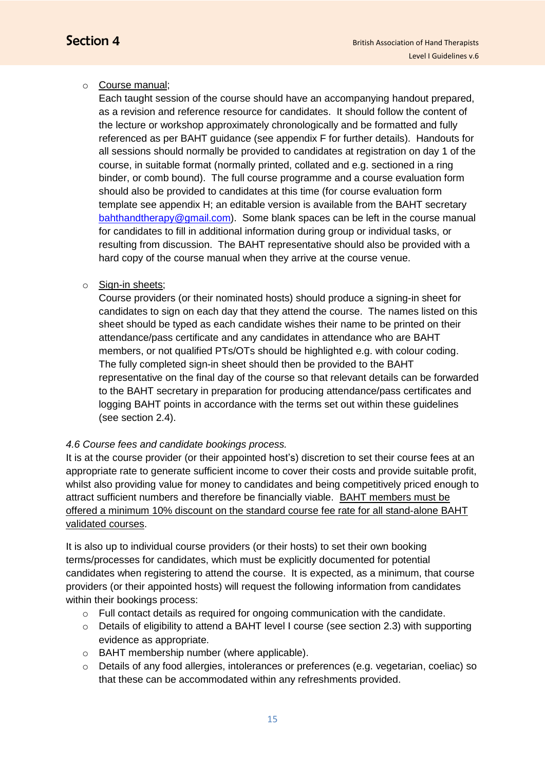#### o Course manual;

Each taught session of the course should have an accompanying handout prepared, as a revision and reference resource for candidates. It should follow the content of the lecture or workshop approximately chronologically and be formatted and fully referenced as per BAHT guidance (see appendix F for further details). Handouts for all sessions should normally be provided to candidates at registration on day 1 of the course, in suitable format (normally printed, collated and e.g. sectioned in a ring binder, or comb bound). The full course programme and a course evaluation form should also be provided to candidates at this time (for course evaluation form template see appendix H; an editable version is available from the BAHT secretary [bahthandtherapy@gmail.com\)](mailto:bahthandtherapy@gmail.com). Some blank spaces can be left in the course manual for candidates to fill in additional information during group or individual tasks, or resulting from discussion. The BAHT representative should also be provided with a hard copy of the course manual when they arrive at the course venue.

#### o Sign-in sheets;

Course providers (or their nominated hosts) should produce a signing-in sheet for candidates to sign on each day that they attend the course. The names listed on this sheet should be typed as each candidate wishes their name to be printed on their attendance/pass certificate and any candidates in attendance who are BAHT members, or not qualified PTs/OTs should be highlighted e.g. with colour coding. The fully completed sign-in sheet should then be provided to the BAHT representative on the final day of the course so that relevant details can be forwarded to the BAHT secretary in preparation for producing attendance/pass certificates and logging BAHT points in accordance with the terms set out within these guidelines (see section 2.4).

### *4.6 Course fees and candidate bookings process.*

It is at the course provider (or their appointed host's) discretion to set their course fees at an appropriate rate to generate sufficient income to cover their costs and provide suitable profit, whilst also providing value for money to candidates and being competitively priced enough to attract sufficient numbers and therefore be financially viable. BAHT members must be offered a minimum 10% discount on the standard course fee rate for all stand-alone BAHT validated courses.

It is also up to individual course providers (or their hosts) to set their own booking terms/processes for candidates, which must be explicitly documented for potential candidates when registering to attend the course. It is expected, as a minimum, that course providers (or their appointed hosts) will request the following information from candidates within their bookings process:

- o Full contact details as required for ongoing communication with the candidate.
- $\circ$  Details of eligibility to attend a BAHT level I course (see section 2.3) with supporting evidence as appropriate.
- o BAHT membership number (where applicable).
- o Details of any food allergies, intolerances or preferences (e.g. vegetarian, coeliac) so that these can be accommodated within any refreshments provided.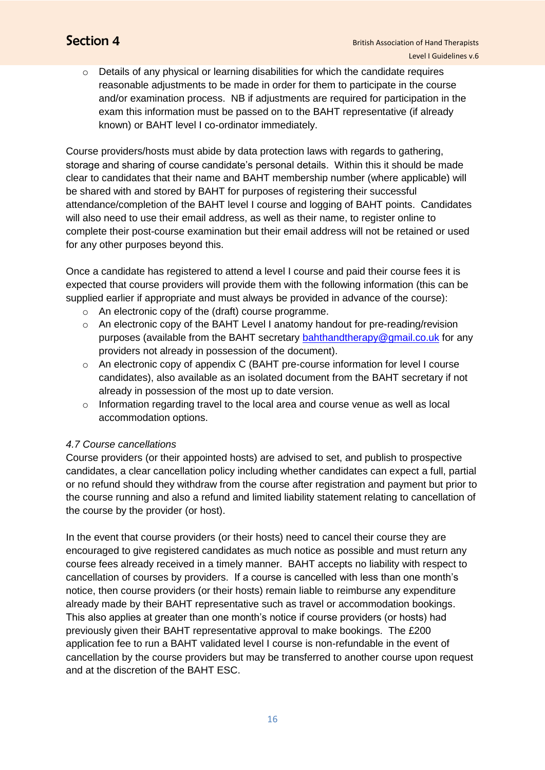$\circ$  Details of any physical or learning disabilities for which the candidate requires reasonable adjustments to be made in order for them to participate in the course and/or examination process. NB if adjustments are required for participation in the exam this information must be passed on to the BAHT representative (if already known) or BAHT level I co-ordinator immediately.

Course providers/hosts must abide by data protection laws with regards to gathering, storage and sharing of course candidate's personal details. Within this it should be made clear to candidates that their name and BAHT membership number (where applicable) will be shared with and stored by BAHT for purposes of registering their successful attendance/completion of the BAHT level I course and logging of BAHT points. Candidates will also need to use their email address, as well as their name, to register online to complete their post-course examination but their email address will not be retained or used for any other purposes beyond this.

Once a candidate has registered to attend a level I course and paid their course fees it is expected that course providers will provide them with the following information (this can be supplied earlier if appropriate and must always be provided in advance of the course):

- o An electronic copy of the (draft) course programme.
- o An electronic copy of the BAHT Level I anatomy handout for pre-reading/revision purposes (available from the BAHT secretary [bahthandtherapy@gmail.co.uk](mailto:bahthandtherapy@gmail.co.uk) for any providers not already in possession of the document).
- o An electronic copy of appendix C (BAHT pre-course information for level I course candidates), also available as an isolated document from the BAHT secretary if not already in possession of the most up to date version.
- o Information regarding travel to the local area and course venue as well as local accommodation options.

#### *4.7 Course cancellations*

Course providers (or their appointed hosts) are advised to set, and publish to prospective candidates, a clear cancellation policy including whether candidates can expect a full, partial or no refund should they withdraw from the course after registration and payment but prior to the course running and also a refund and limited liability statement relating to cancellation of the course by the provider (or host).

In the event that course providers (or their hosts) need to cancel their course they are encouraged to give registered candidates as much notice as possible and must return any course fees already received in a timely manner. BAHT accepts no liability with respect to cancellation of courses by providers. If a course is cancelled with less than one month's notice, then course providers (or their hosts) remain liable to reimburse any expenditure already made by their BAHT representative such as travel or accommodation bookings. This also applies at greater than one month's notice if course providers (or hosts) had previously given their BAHT representative approval to make bookings. The £200 application fee to run a BAHT validated level I course is non-refundable in the event of cancellation by the course providers but may be transferred to another course upon request and at the discretion of the BAHT ESC.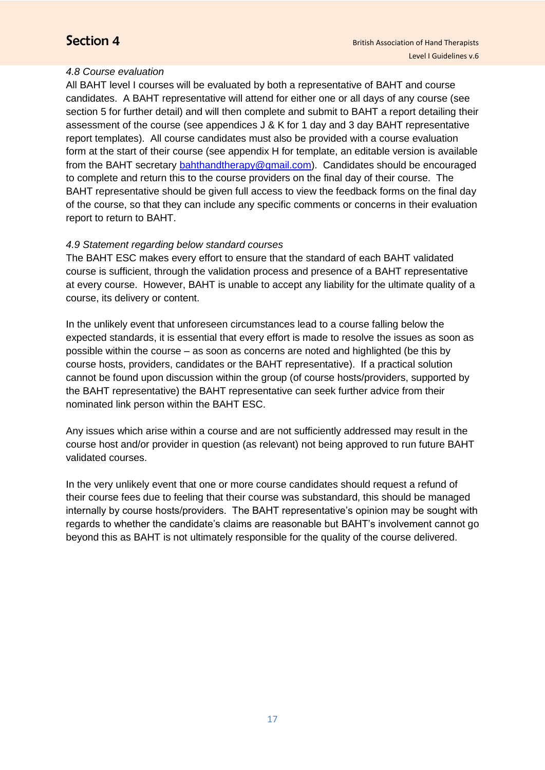#### *4.8 Course evaluation*

All BAHT level I courses will be evaluated by both a representative of BAHT and course candidates. A BAHT representative will attend for either one or all days of any course (see section 5 for further detail) and will then complete and submit to BAHT a report detailing their assessment of the course (see appendices J & K for 1 day and 3 day BAHT representative report templates). All course candidates must also be provided with a course evaluation form at the start of their course (see appendix H for template, an editable version is available from the BAHT secretary [bahthandtherapy@gmail.com\)](mailto:bahthandtherapy@gmail.com). Candidates should be encouraged to complete and return this to the course providers on the final day of their course. The BAHT representative should be given full access to view the feedback forms on the final day of the course, so that they can include any specific comments or concerns in their evaluation report to return to BAHT.

### *4.9 Statement regarding below standard courses*

The BAHT ESC makes every effort to ensure that the standard of each BAHT validated course is sufficient, through the validation process and presence of a BAHT representative at every course. However, BAHT is unable to accept any liability for the ultimate quality of a course, its delivery or content.

In the unlikely event that unforeseen circumstances lead to a course falling below the expected standards, it is essential that every effort is made to resolve the issues as soon as possible within the course – as soon as concerns are noted and highlighted (be this by course hosts, providers, candidates or the BAHT representative). If a practical solution cannot be found upon discussion within the group (of course hosts/providers, supported by the BAHT representative) the BAHT representative can seek further advice from their nominated link person within the BAHT ESC.

Any issues which arise within a course and are not sufficiently addressed may result in the course host and/or provider in question (as relevant) not being approved to run future BAHT validated courses.

In the very unlikely event that one or more course candidates should request a refund of their course fees due to feeling that their course was substandard, this should be managed internally by course hosts/providers. The BAHT representative's opinion may be sought with regards to whether the candidate's claims are reasonable but BAHT's involvement cannot go beyond this as BAHT is not ultimately responsible for the quality of the course delivered.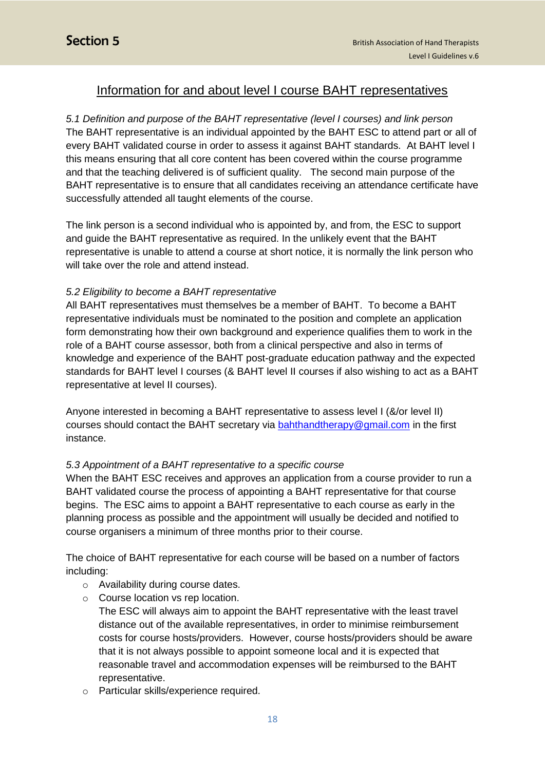## Information for and about level I course BAHT representatives

*5.1 Definition and purpose of the BAHT representative (level I courses) and link person*  The BAHT representative is an individual appointed by the BAHT ESC to attend part or all of every BAHT validated course in order to assess it against BAHT standards. At BAHT level I this means ensuring that all core content has been covered within the course programme and that the teaching delivered is of sufficient quality. The second main purpose of the BAHT representative is to ensure that all candidates receiving an attendance certificate have successfully attended all taught elements of the course.

The link person is a second individual who is appointed by, and from, the ESC to support and guide the BAHT representative as required. In the unlikely event that the BAHT representative is unable to attend a course at short notice, it is normally the link person who will take over the role and attend instead.

#### *5.2 Eligibility to become a BAHT representative*

All BAHT representatives must themselves be a member of BAHT. To become a BAHT representative individuals must be nominated to the position and complete an application form demonstrating how their own background and experience qualifies them to work in the role of a BAHT course assessor, both from a clinical perspective and also in terms of knowledge and experience of the BAHT post-graduate education pathway and the expected standards for BAHT level I courses (& BAHT level II courses if also wishing to act as a BAHT representative at level II courses).

Anyone interested in becoming a BAHT representative to assess level I (&/or level II) courses should contact the BAHT secretary via **bahthandtherapy@gmail.com** in the first instance.

#### *5.3 Appointment of a BAHT representative to a specific course*

When the BAHT ESC receives and approves an application from a course provider to run a BAHT validated course the process of appointing a BAHT representative for that course begins. The ESC aims to appoint a BAHT representative to each course as early in the planning process as possible and the appointment will usually be decided and notified to course organisers a minimum of three months prior to their course.

The choice of BAHT representative for each course will be based on a number of factors including:

- o Availability during course dates.
- o Course location vs rep location.

The ESC will always aim to appoint the BAHT representative with the least travel distance out of the available representatives, in order to minimise reimbursement costs for course hosts/providers. However, course hosts/providers should be aware that it is not always possible to appoint someone local and it is expected that reasonable travel and accommodation expenses will be reimbursed to the BAHT representative.

o Particular skills/experience required.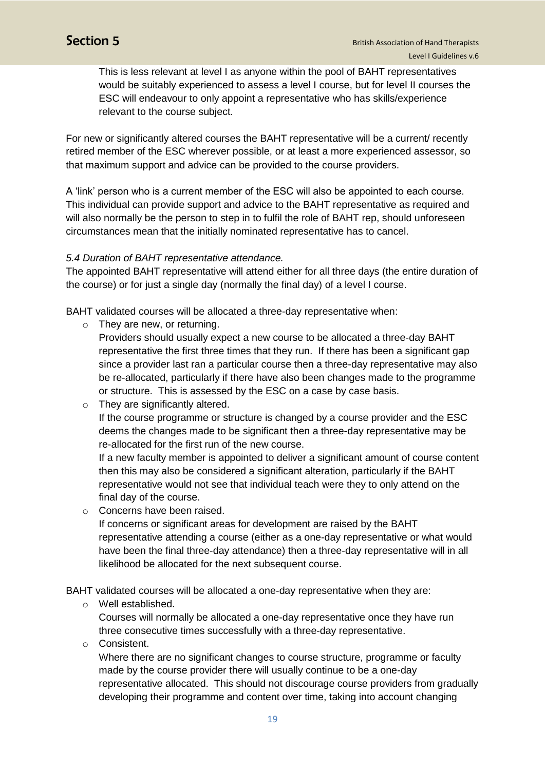This is less relevant at level I as anyone within the pool of BAHT representatives would be suitably experienced to assess a level I course, but for level II courses the ESC will endeavour to only appoint a representative who has skills/experience relevant to the course subject.

For new or significantly altered courses the BAHT representative will be a current/ recently retired member of the ESC wherever possible, or at least a more experienced assessor, so that maximum support and advice can be provided to the course providers.

A 'link' person who is a current member of the ESC will also be appointed to each course. This individual can provide support and advice to the BAHT representative as required and will also normally be the person to step in to fulfil the role of BAHT rep, should unforeseen circumstances mean that the initially nominated representative has to cancel.

#### *5.4 Duration of BAHT representative attendance.*

The appointed BAHT representative will attend either for all three days (the entire duration of the course) or for just a single day (normally the final day) of a level I course.

BAHT validated courses will be allocated a three-day representative when:

o They are new, or returning.

Providers should usually expect a new course to be allocated a three-day BAHT representative the first three times that they run. If there has been a significant gap since a provider last ran a particular course then a three-day representative may also be re-allocated, particularly if there have also been changes made to the programme or structure. This is assessed by the ESC on a case by case basis.

o They are significantly altered.

If the course programme or structure is changed by a course provider and the ESC deems the changes made to be significant then a three-day representative may be re-allocated for the first run of the new course.

If a new faculty member is appointed to deliver a significant amount of course content then this may also be considered a significant alteration, particularly if the BAHT representative would not see that individual teach were they to only attend on the final day of the course.

o Concerns have been raised.

If concerns or significant areas for development are raised by the BAHT representative attending a course (either as a one-day representative or what would have been the final three-day attendance) then a three-day representative will in all likelihood be allocated for the next subsequent course.

BAHT validated courses will be allocated a one-day representative when they are:

o Well established.

Courses will normally be allocated a one-day representative once they have run three consecutive times successfully with a three-day representative.

o Consistent.

Where there are no significant changes to course structure, programme or faculty made by the course provider there will usually continue to be a one-day representative allocated. This should not discourage course providers from gradually developing their programme and content over time, taking into account changing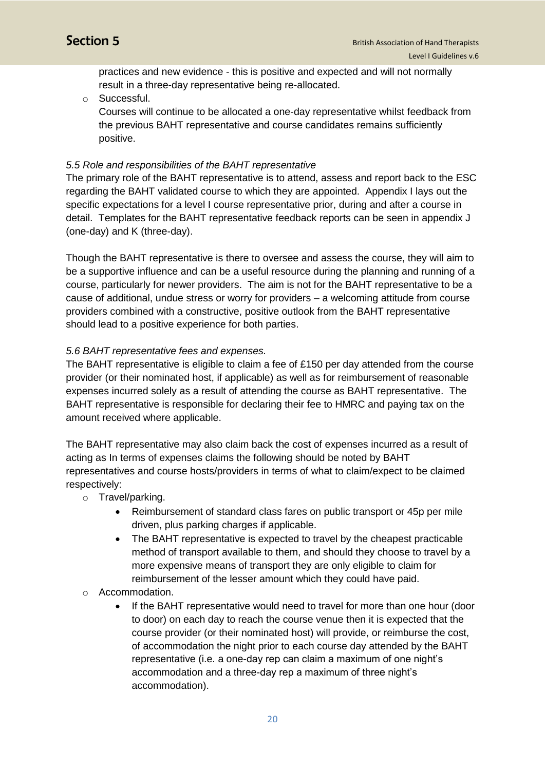practices and new evidence - this is positive and expected and will not normally result in a three-day representative being re-allocated.

o Successful.

Courses will continue to be allocated a one-day representative whilst feedback from the previous BAHT representative and course candidates remains sufficiently positive.

#### *5.5 Role and responsibilities of the BAHT representative*

The primary role of the BAHT representative is to attend, assess and report back to the ESC regarding the BAHT validated course to which they are appointed. Appendix I lays out the specific expectations for a level I course representative prior, during and after a course in detail. Templates for the BAHT representative feedback reports can be seen in appendix J (one-day) and K (three-day).

Though the BAHT representative is there to oversee and assess the course, they will aim to be a supportive influence and can be a useful resource during the planning and running of a course, particularly for newer providers. The aim is not for the BAHT representative to be a cause of additional, undue stress or worry for providers – a welcoming attitude from course providers combined with a constructive, positive outlook from the BAHT representative should lead to a positive experience for both parties.

#### *5.6 BAHT representative fees and expenses.*

The BAHT representative is eligible to claim a fee of £150 per day attended from the course provider (or their nominated host, if applicable) as well as for reimbursement of reasonable expenses incurred solely as a result of attending the course as BAHT representative. The BAHT representative is responsible for declaring their fee to HMRC and paying tax on the amount received where applicable.

The BAHT representative may also claim back the cost of expenses incurred as a result of acting as In terms of expenses claims the following should be noted by BAHT representatives and course hosts/providers in terms of what to claim/expect to be claimed respectively:

- o Travel/parking.
	- Reimbursement of standard class fares on public transport or 45p per mile driven, plus parking charges if applicable.
	- The BAHT representative is expected to travel by the cheapest practicable method of transport available to them, and should they choose to travel by a more expensive means of transport they are only eligible to claim for reimbursement of the lesser amount which they could have paid.
- o Accommodation.
	- If the BAHT representative would need to travel for more than one hour (door to door) on each day to reach the course venue then it is expected that the course provider (or their nominated host) will provide, or reimburse the cost, of accommodation the night prior to each course day attended by the BAHT representative (i.e. a one-day rep can claim a maximum of one night's accommodation and a three-day rep a maximum of three night's accommodation).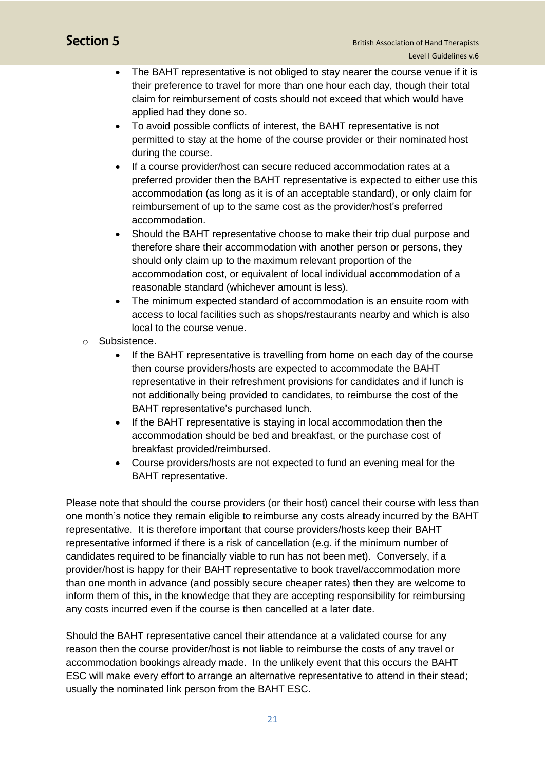- The BAHT representative is not obliged to stay nearer the course venue if it is their preference to travel for more than one hour each day, though their total claim for reimbursement of costs should not exceed that which would have applied had they done so.
- To avoid possible conflicts of interest, the BAHT representative is not permitted to stay at the home of the course provider or their nominated host during the course.
- If a course provider/host can secure reduced accommodation rates at a preferred provider then the BAHT representative is expected to either use this accommodation (as long as it is of an acceptable standard), or only claim for reimbursement of up to the same cost as the provider/host's preferred accommodation.
- Should the BAHT representative choose to make their trip dual purpose and therefore share their accommodation with another person or persons, they should only claim up to the maximum relevant proportion of the accommodation cost, or equivalent of local individual accommodation of a reasonable standard (whichever amount is less).
- The minimum expected standard of accommodation is an ensuite room with access to local facilities such as shops/restaurants nearby and which is also local to the course venue.
- o Subsistence.
	- If the BAHT representative is travelling from home on each day of the course then course providers/hosts are expected to accommodate the BAHT representative in their refreshment provisions for candidates and if lunch is not additionally being provided to candidates, to reimburse the cost of the BAHT representative's purchased lunch.
	- If the BAHT representative is staying in local accommodation then the accommodation should be bed and breakfast, or the purchase cost of breakfast provided/reimbursed.
	- Course providers/hosts are not expected to fund an evening meal for the BAHT representative.

Please note that should the course providers (or their host) cancel their course with less than one month's notice they remain eligible to reimburse any costs already incurred by the BAHT representative. It is therefore important that course providers/hosts keep their BAHT representative informed if there is a risk of cancellation (e.g. if the minimum number of candidates required to be financially viable to run has not been met). Conversely, if a provider/host is happy for their BAHT representative to book travel/accommodation more than one month in advance (and possibly secure cheaper rates) then they are welcome to inform them of this, in the knowledge that they are accepting responsibility for reimbursing any costs incurred even if the course is then cancelled at a later date.

Should the BAHT representative cancel their attendance at a validated course for any reason then the course provider/host is not liable to reimburse the costs of any travel or accommodation bookings already made. In the unlikely event that this occurs the BAHT ESC will make every effort to arrange an alternative representative to attend in their stead; usually the nominated link person from the BAHT ESC.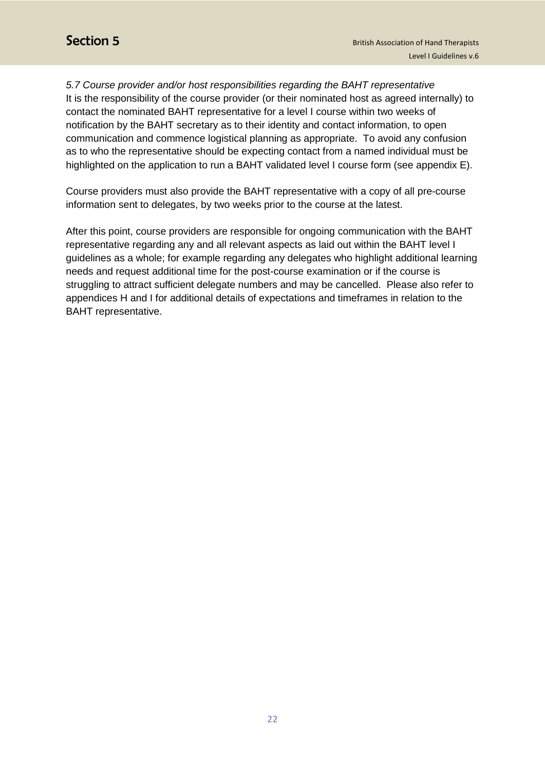*5.7 Course provider and/or host responsibilities regarding the BAHT representative* It is the responsibility of the course provider (or their nominated host as agreed internally) to contact the nominated BAHT representative for a level I course within two weeks of notification by the BAHT secretary as to their identity and contact information, to open communication and commence logistical planning as appropriate. To avoid any confusion as to who the representative should be expecting contact from a named individual must be highlighted on the application to run a BAHT validated level I course form (see appendix E).

Course providers must also provide the BAHT representative with a copy of all pre-course information sent to delegates, by two weeks prior to the course at the latest.

After this point, course providers are responsible for ongoing communication with the BAHT representative regarding any and all relevant aspects as laid out within the BAHT level I guidelines as a whole; for example regarding any delegates who highlight additional learning needs and request additional time for the post-course examination or if the course is struggling to attract sufficient delegate numbers and may be cancelled. Please also refer to appendices H and I for additional details of expectations and timeframes in relation to the BAHT representative.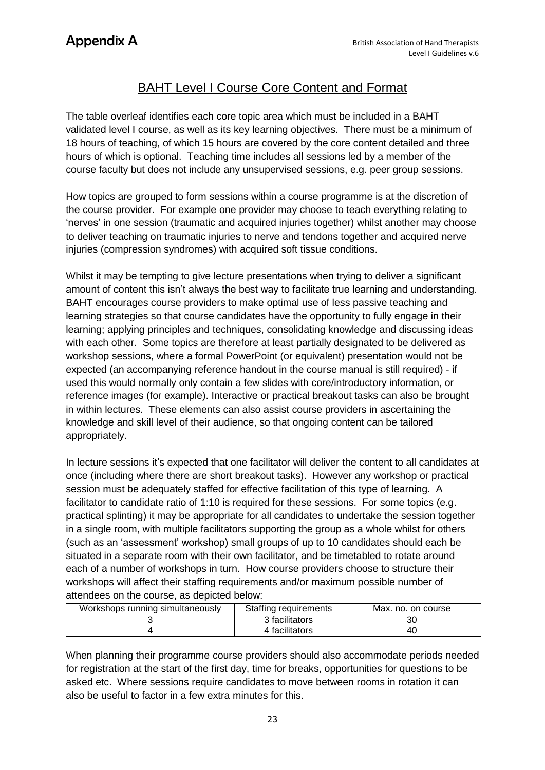## BAHT Level I Course Core Content and Format

The table overleaf identifies each core topic area which must be included in a BAHT validated level I course, as well as its key learning objectives. There must be a minimum of 18 hours of teaching, of which 15 hours are covered by the core content detailed and three hours of which is optional. Teaching time includes all sessions led by a member of the course faculty but does not include any unsupervised sessions, e.g. peer group sessions.

How topics are grouped to form sessions within a course programme is at the discretion of the course provider. For example one provider may choose to teach everything relating to 'nerves' in one session (traumatic and acquired injuries together) whilst another may choose to deliver teaching on traumatic injuries to nerve and tendons together and acquired nerve injuries (compression syndromes) with acquired soft tissue conditions.

Whilst it may be tempting to give lecture presentations when trying to deliver a significant amount of content this isn't always the best way to facilitate true learning and understanding. BAHT encourages course providers to make optimal use of less passive teaching and learning strategies so that course candidates have the opportunity to fully engage in their learning; applying principles and techniques, consolidating knowledge and discussing ideas with each other. Some topics are therefore at least partially designated to be delivered as workshop sessions, where a formal PowerPoint (or equivalent) presentation would not be expected (an accompanying reference handout in the course manual is still required) - if used this would normally only contain a few slides with core/introductory information, or reference images (for example). Interactive or practical breakout tasks can also be brought in within lectures. These elements can also assist course providers in ascertaining the knowledge and skill level of their audience, so that ongoing content can be tailored appropriately.

In lecture sessions it's expected that one facilitator will deliver the content to all candidates at once (including where there are short breakout tasks). However any workshop or practical session must be adequately staffed for effective facilitation of this type of learning. A facilitator to candidate ratio of 1:10 is required for these sessions. For some topics (e.g. practical splinting) it may be appropriate for all candidates to undertake the session together in a single room, with multiple facilitators supporting the group as a whole whilst for others (such as an 'assessment' workshop) small groups of up to 10 candidates should each be situated in a separate room with their own facilitator, and be timetabled to rotate around each of a number of workshops in turn. How course providers choose to structure their workshops will affect their staffing requirements and/or maximum possible number of attendees on the course, as depicted below:

| Workshops running simultaneously | Staffing requirements | Max. no. on course |
|----------------------------------|-----------------------|--------------------|
|                                  | 3 facilitators        | 30                 |
|                                  | 4 facilitators        | 40                 |

When planning their programme course providers should also accommodate periods needed for registration at the start of the first day, time for breaks, opportunities for questions to be asked etc. Where sessions require candidates to move between rooms in rotation it can also be useful to factor in a few extra minutes for this.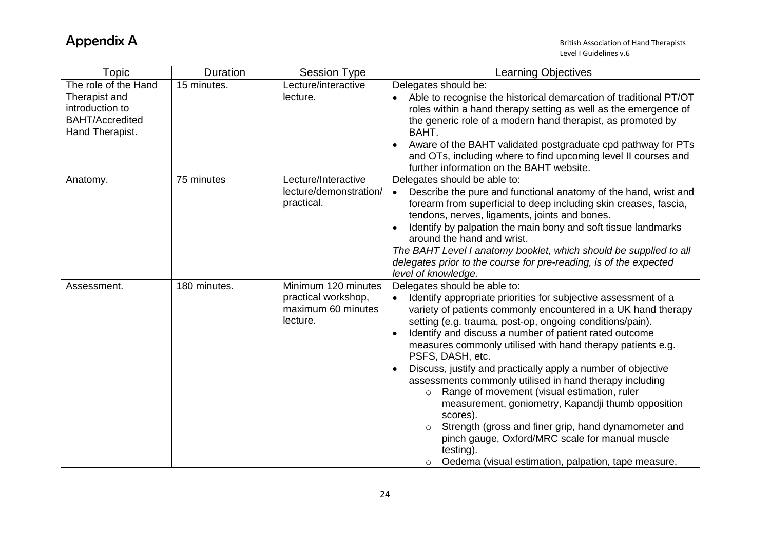| <b>Topic</b>                                                                  | Duration     | <b>Session Type</b>                                                          | <b>Learning Objectives</b>                                                                                                                                                                                                                                                                                                                                                                                                                                                                                                                                                                                                                                                                                                                                                                                                          |
|-------------------------------------------------------------------------------|--------------|------------------------------------------------------------------------------|-------------------------------------------------------------------------------------------------------------------------------------------------------------------------------------------------------------------------------------------------------------------------------------------------------------------------------------------------------------------------------------------------------------------------------------------------------------------------------------------------------------------------------------------------------------------------------------------------------------------------------------------------------------------------------------------------------------------------------------------------------------------------------------------------------------------------------------|
| The role of the Hand                                                          | 15 minutes.  | Lecture/interactive                                                          | Delegates should be:                                                                                                                                                                                                                                                                                                                                                                                                                                                                                                                                                                                                                                                                                                                                                                                                                |
| Therapist and<br>introduction to<br><b>BAHT/Accredited</b><br>Hand Therapist. |              | lecture.                                                                     | Able to recognise the historical demarcation of traditional PT/OT<br>roles within a hand therapy setting as well as the emergence of<br>the generic role of a modern hand therapist, as promoted by<br>BAHT.<br>Aware of the BAHT validated postgraduate cpd pathway for PTs<br>and OTs, including where to find upcoming level II courses and<br>further information on the BAHT website.                                                                                                                                                                                                                                                                                                                                                                                                                                          |
| Anatomy.                                                                      | 75 minutes   | Lecture/Interactive                                                          | Delegates should be able to:                                                                                                                                                                                                                                                                                                                                                                                                                                                                                                                                                                                                                                                                                                                                                                                                        |
|                                                                               |              | lecture/demonstration/<br>practical.                                         | Describe the pure and functional anatomy of the hand, wrist and<br>$\bullet$<br>forearm from superficial to deep including skin creases, fascia,<br>tendons, nerves, ligaments, joints and bones.<br>Identify by palpation the main bony and soft tissue landmarks<br>around the hand and wrist.<br>The BAHT Level I anatomy booklet, which should be supplied to all<br>delegates prior to the course for pre-reading, is of the expected                                                                                                                                                                                                                                                                                                                                                                                          |
|                                                                               |              |                                                                              | level of knowledge.                                                                                                                                                                                                                                                                                                                                                                                                                                                                                                                                                                                                                                                                                                                                                                                                                 |
| Assessment.                                                                   | 180 minutes. | Minimum 120 minutes<br>practical workshop,<br>maximum 60 minutes<br>lecture. | Delegates should be able to:<br>Identify appropriate priorities for subjective assessment of a<br>variety of patients commonly encountered in a UK hand therapy<br>setting (e.g. trauma, post-op, ongoing conditions/pain).<br>Identify and discuss a number of patient rated outcome<br>measures commonly utilised with hand therapy patients e.g.<br>PSFS, DASH, etc.<br>Discuss, justify and practically apply a number of objective<br>assessments commonly utilised in hand therapy including<br>Range of movement (visual estimation, ruler<br>$\circ$<br>measurement, goniometry, Kapandji thumb opposition<br>scores).<br>Strength (gross and finer grip, hand dynamometer and<br>$\circ$<br>pinch gauge, Oxford/MRC scale for manual muscle<br>testing).<br>Oedema (visual estimation, palpation, tape measure,<br>$\circ$ |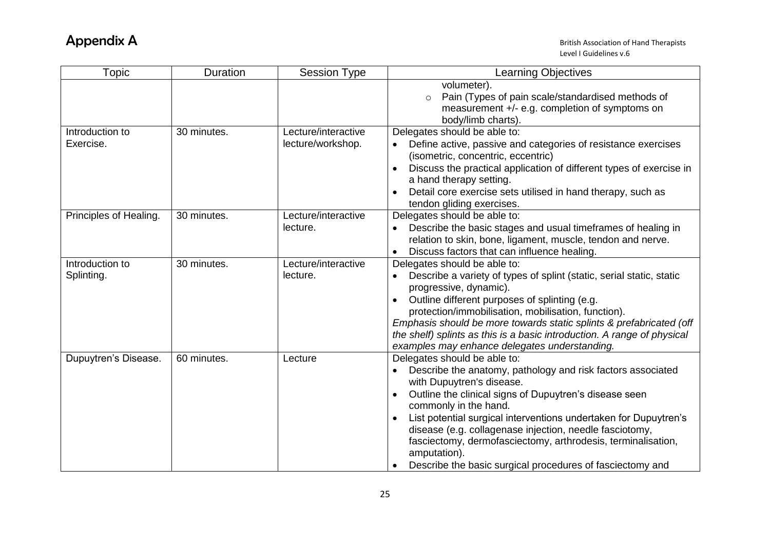| <b>Topic</b>                  | <b>Duration</b> | <b>Session Type</b>                      | <b>Learning Objectives</b>                                                                                                                                                                                                                                                                                                                                                                                                                                                              |
|-------------------------------|-----------------|------------------------------------------|-----------------------------------------------------------------------------------------------------------------------------------------------------------------------------------------------------------------------------------------------------------------------------------------------------------------------------------------------------------------------------------------------------------------------------------------------------------------------------------------|
|                               |                 |                                          | volumeter).<br>Pain (Types of pain scale/standardised methods of<br>$\circ$<br>measurement +/- e.g. completion of symptoms on<br>body/limb charts).                                                                                                                                                                                                                                                                                                                                     |
| Introduction to<br>Exercise.  | 30 minutes.     | Lecture/interactive<br>lecture/workshop. | Delegates should be able to:<br>Define active, passive and categories of resistance exercises<br>(isometric, concentric, eccentric)<br>Discuss the practical application of different types of exercise in<br>a hand therapy setting.<br>Detail core exercise sets utilised in hand therapy, such as<br>tendon gliding exercises.                                                                                                                                                       |
| Principles of Healing.        | 30 minutes.     | Lecture/interactive<br>lecture.          | Delegates should be able to:<br>Describe the basic stages and usual timeframes of healing in<br>relation to skin, bone, ligament, muscle, tendon and nerve.<br>Discuss factors that can influence healing.                                                                                                                                                                                                                                                                              |
| Introduction to<br>Splinting. | 30 minutes.     | Lecture/interactive<br>lecture.          | Delegates should be able to:<br>Describe a variety of types of splint (static, serial static, static<br>progressive, dynamic).<br>Outline different purposes of splinting (e.g.<br>protection/immobilisation, mobilisation, function).<br>Emphasis should be more towards static splints & prefabricated (off<br>the shelf) splints as this is a basic introduction. A range of physical<br>examples may enhance delegates understanding.                                               |
| Dupuytren's Disease.          | 60 minutes.     | Lecture                                  | Delegates should be able to:<br>Describe the anatomy, pathology and risk factors associated<br>with Dupuytren's disease.<br>Outline the clinical signs of Dupuytren's disease seen<br>commonly in the hand.<br>List potential surgical interventions undertaken for Dupuytren's<br>disease (e.g. collagenase injection, needle fasciotomy,<br>fasciectomy, dermofasciectomy, arthrodesis, terminalisation,<br>amputation).<br>Describe the basic surgical procedures of fasciectomy and |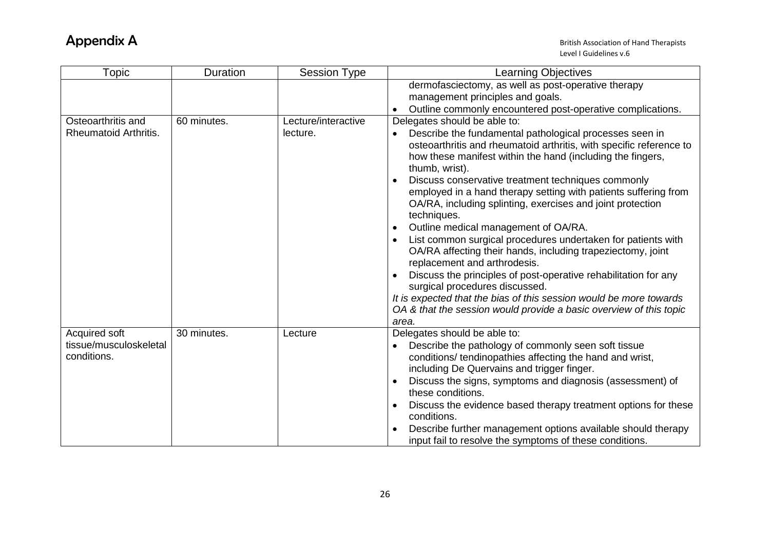| Topic                                 | Duration    | <b>Session Type</b> | <b>Learning Objectives</b>                                                                                                                                                                                                                                                                                                                                                                                                                                                                                                                                                                                                                                                                                                                                                                                                                                                            |
|---------------------------------------|-------------|---------------------|---------------------------------------------------------------------------------------------------------------------------------------------------------------------------------------------------------------------------------------------------------------------------------------------------------------------------------------------------------------------------------------------------------------------------------------------------------------------------------------------------------------------------------------------------------------------------------------------------------------------------------------------------------------------------------------------------------------------------------------------------------------------------------------------------------------------------------------------------------------------------------------|
|                                       |             |                     | dermofasciectomy, as well as post-operative therapy                                                                                                                                                                                                                                                                                                                                                                                                                                                                                                                                                                                                                                                                                                                                                                                                                                   |
|                                       |             |                     | management principles and goals.                                                                                                                                                                                                                                                                                                                                                                                                                                                                                                                                                                                                                                                                                                                                                                                                                                                      |
|                                       |             |                     | Outline commonly encountered post-operative complications.                                                                                                                                                                                                                                                                                                                                                                                                                                                                                                                                                                                                                                                                                                                                                                                                                            |
| Osteoarthritis and                    | 60 minutes. | Lecture/interactive | Delegates should be able to:                                                                                                                                                                                                                                                                                                                                                                                                                                                                                                                                                                                                                                                                                                                                                                                                                                                          |
| <b>Rheumatoid Arthritis.</b>          |             | lecture.            | Describe the fundamental pathological processes seen in<br>osteoarthritis and rheumatoid arthritis, with specific reference to<br>how these manifest within the hand (including the fingers,<br>thumb, wrist).<br>Discuss conservative treatment techniques commonly<br>employed in a hand therapy setting with patients suffering from<br>OA/RA, including splinting, exercises and joint protection<br>techniques.<br>Outline medical management of OA/RA.<br>List common surgical procedures undertaken for patients with<br>OA/RA affecting their hands, including trapeziectomy, joint<br>replacement and arthrodesis.<br>Discuss the principles of post-operative rehabilitation for any<br>surgical procedures discussed.<br>It is expected that the bias of this session would be more towards<br>OA & that the session would provide a basic overview of this topic<br>area. |
| Acquired soft                         | 30 minutes. | Lecture             | Delegates should be able to:                                                                                                                                                                                                                                                                                                                                                                                                                                                                                                                                                                                                                                                                                                                                                                                                                                                          |
| tissue/musculoskeletal<br>conditions. |             |                     | Describe the pathology of commonly seen soft tissue<br>conditions/ tendinopathies affecting the hand and wrist,<br>including De Quervains and trigger finger.                                                                                                                                                                                                                                                                                                                                                                                                                                                                                                                                                                                                                                                                                                                         |
|                                       |             |                     | Discuss the signs, symptoms and diagnosis (assessment) of<br>these conditions.                                                                                                                                                                                                                                                                                                                                                                                                                                                                                                                                                                                                                                                                                                                                                                                                        |
|                                       |             |                     | Discuss the evidence based therapy treatment options for these<br>conditions.                                                                                                                                                                                                                                                                                                                                                                                                                                                                                                                                                                                                                                                                                                                                                                                                         |
|                                       |             |                     | Describe further management options available should therapy<br>input fail to resolve the symptoms of these conditions.                                                                                                                                                                                                                                                                                                                                                                                                                                                                                                                                                                                                                                                                                                                                                               |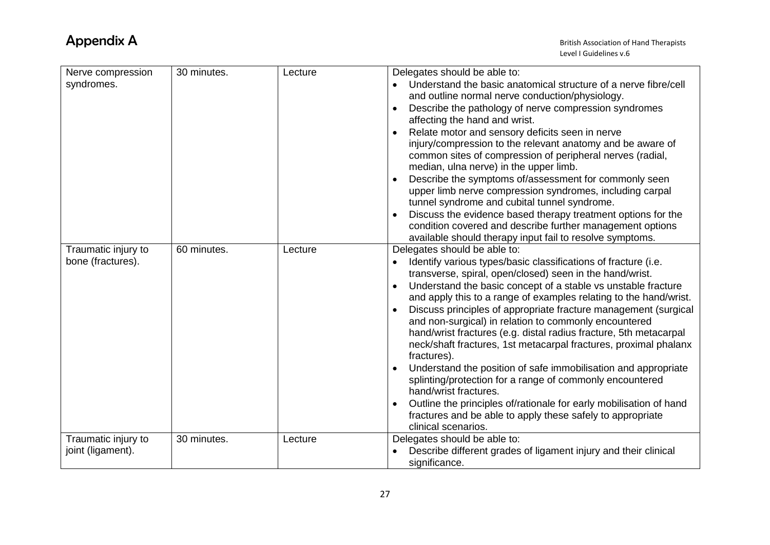| Nerve compression<br>syndromes. | 30 minutes. | Lecture | Delegates should be able to:<br>Understand the basic anatomical structure of a nerve fibre/cell<br>and outline normal nerve conduction/physiology. |
|---------------------------------|-------------|---------|----------------------------------------------------------------------------------------------------------------------------------------------------|
|                                 |             |         | Describe the pathology of nerve compression syndromes<br>affecting the hand and wrist.                                                             |
|                                 |             |         | Relate motor and sensory deficits seen in nerve<br>injury/compression to the relevant anatomy and be aware of                                      |
|                                 |             |         | common sites of compression of peripheral nerves (radial,<br>median, ulna nerve) in the upper limb.                                                |
|                                 |             |         | Describe the symptoms of/assessment for commonly seen<br>upper limb nerve compression syndromes, including carpal                                  |
|                                 |             |         | tunnel syndrome and cubital tunnel syndrome.<br>Discuss the evidence based therapy treatment options for the                                       |
|                                 |             |         | condition covered and describe further management options                                                                                          |
|                                 |             |         | available should therapy input fail to resolve symptoms.                                                                                           |
| Traumatic injury to             | 60 minutes. | Lecture | Delegates should be able to:                                                                                                                       |
| bone (fractures).               |             |         | Identify various types/basic classifications of fracture (i.e.<br>transverse, spiral, open/closed) seen in the hand/wrist.                         |
|                                 |             |         | Understand the basic concept of a stable vs unstable fracture                                                                                      |
|                                 |             |         | and apply this to a range of examples relating to the hand/wrist.                                                                                  |
|                                 |             |         | Discuss principles of appropriate fracture management (surgical<br>and non-surgical) in relation to commonly encountered                           |
|                                 |             |         | hand/wrist fractures (e.g. distal radius fracture, 5th metacarpal                                                                                  |
|                                 |             |         | neck/shaft fractures, 1st metacarpal fractures, proximal phalanx<br>fractures).                                                                    |
|                                 |             |         | Understand the position of safe immobilisation and appropriate                                                                                     |
|                                 |             |         | splinting/protection for a range of commonly encountered<br>hand/wrist fractures.                                                                  |
|                                 |             |         | Outline the principles of/rationale for early mobilisation of hand                                                                                 |
|                                 |             |         | fractures and be able to apply these safely to appropriate<br>clinical scenarios.                                                                  |
| Traumatic injury to             | 30 minutes. | Lecture | Delegates should be able to:                                                                                                                       |
| joint (ligament).               |             |         | Describe different grades of ligament injury and their clinical                                                                                    |
|                                 |             |         | significance.                                                                                                                                      |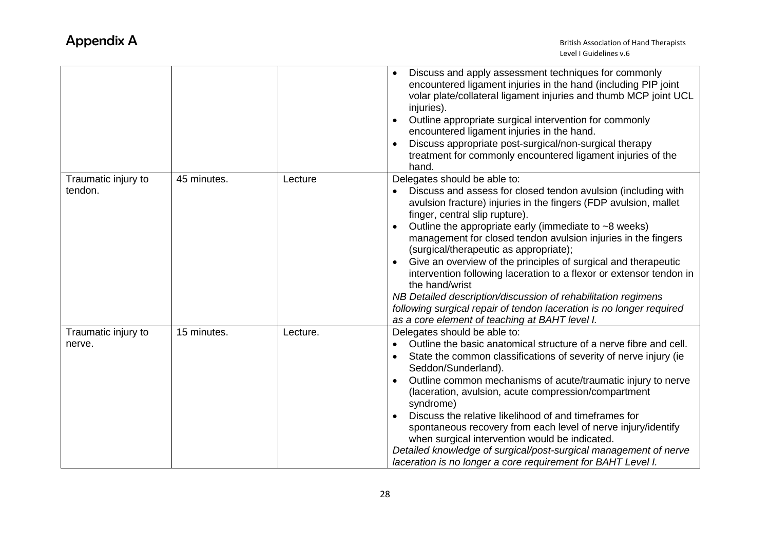|                     |             |          | Discuss and apply assessment techniques for commonly<br>encountered ligament injuries in the hand (including PIP joint<br>volar plate/collateral ligament injuries and thumb MCP joint UCL<br>injuries).<br>Outline appropriate surgical intervention for commonly<br>encountered ligament injuries in the hand.<br>Discuss appropriate post-surgical/non-surgical therapy<br>treatment for commonly encountered ligament injuries of the<br>hand. |
|---------------------|-------------|----------|----------------------------------------------------------------------------------------------------------------------------------------------------------------------------------------------------------------------------------------------------------------------------------------------------------------------------------------------------------------------------------------------------------------------------------------------------|
| Traumatic injury to | 45 minutes. | Lecture  | Delegates should be able to:                                                                                                                                                                                                                                                                                                                                                                                                                       |
| tendon.             |             |          | Discuss and assess for closed tendon avulsion (including with<br>avulsion fracture) injuries in the fingers (FDP avulsion, mallet<br>finger, central slip rupture).                                                                                                                                                                                                                                                                                |
|                     |             |          | Outline the appropriate early (immediate to $~5$ weeks)<br>management for closed tendon avulsion injuries in the fingers<br>(surgical/therapeutic as appropriate);                                                                                                                                                                                                                                                                                 |
|                     |             |          | Give an overview of the principles of surgical and therapeutic                                                                                                                                                                                                                                                                                                                                                                                     |
|                     |             |          | intervention following laceration to a flexor or extensor tendon in<br>the hand/wrist                                                                                                                                                                                                                                                                                                                                                              |
|                     |             |          | NB Detailed description/discussion of rehabilitation regimens                                                                                                                                                                                                                                                                                                                                                                                      |
|                     |             |          | following surgical repair of tendon laceration is no longer required<br>as a core element of teaching at BAHT level I.                                                                                                                                                                                                                                                                                                                             |
| Traumatic injury to | 15 minutes. | Lecture. | Delegates should be able to:                                                                                                                                                                                                                                                                                                                                                                                                                       |
| nerve.              |             |          | Outline the basic anatomical structure of a nerve fibre and cell.                                                                                                                                                                                                                                                                                                                                                                                  |
|                     |             |          | State the common classifications of severity of nerve injury (ie<br>Seddon/Sunderland).                                                                                                                                                                                                                                                                                                                                                            |
|                     |             |          | Outline common mechanisms of acute/traumatic injury to nerve<br>(laceration, avulsion, acute compression/compartment<br>syndrome)                                                                                                                                                                                                                                                                                                                  |
|                     |             |          | Discuss the relative likelihood of and timeframes for<br>spontaneous recovery from each level of nerve injury/identify<br>when surgical intervention would be indicated.                                                                                                                                                                                                                                                                           |
|                     |             |          | Detailed knowledge of surgical/post-surgical management of nerve                                                                                                                                                                                                                                                                                                                                                                                   |
|                     |             |          | laceration is no longer a core requirement for BAHT Level I.                                                                                                                                                                                                                                                                                                                                                                                       |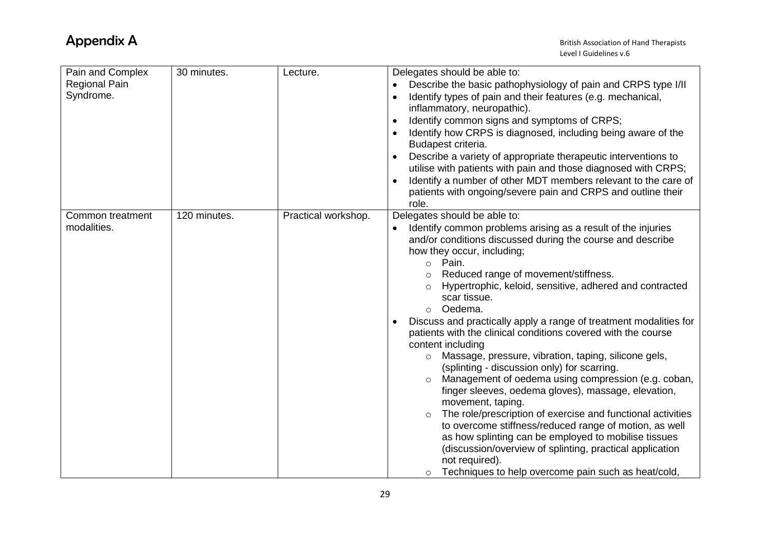| Pain and Complex<br><b>Regional Pain</b><br>Syndrome. | 30 minutes.  | Lecture.            | Delegates should be able to:<br>Describe the basic pathophysiology of pain and CRPS type I/II<br>Identify types of pain and their features (e.g. mechanical,<br>inflammatory, neuropathic).<br>Identify common signs and symptoms of CRPS;<br>Identify how CRPS is diagnosed, including being aware of the<br>Budapest criteria.<br>Describe a variety of appropriate therapeutic interventions to<br>utilise with patients with pain and those diagnosed with CRPS;<br>Identify a number of other MDT members relevant to the care of<br>patients with ongoing/severe pain and CRPS and outline their<br>role.                                                                                                                                                                                                                                                                                                                                                                                                                                                                                                                                    |
|-------------------------------------------------------|--------------|---------------------|----------------------------------------------------------------------------------------------------------------------------------------------------------------------------------------------------------------------------------------------------------------------------------------------------------------------------------------------------------------------------------------------------------------------------------------------------------------------------------------------------------------------------------------------------------------------------------------------------------------------------------------------------------------------------------------------------------------------------------------------------------------------------------------------------------------------------------------------------------------------------------------------------------------------------------------------------------------------------------------------------------------------------------------------------------------------------------------------------------------------------------------------------|
| Common treatment<br>modalities.                       | 120 minutes. | Practical workshop. | Delegates should be able to:<br>Identify common problems arising as a result of the injuries<br>and/or conditions discussed during the course and describe<br>how they occur, including;<br>Pain.<br>$\circ$<br>Reduced range of movement/stiffness.<br>$\circ$<br>Hypertrophic, keloid, sensitive, adhered and contracted<br>$\circ$<br>scar tissue.<br>Oedema.<br>$\circ$<br>Discuss and practically apply a range of treatment modalities for<br>patients with the clinical conditions covered with the course<br>content including<br>Massage, pressure, vibration, taping, silicone gels,<br>$\circ$<br>(splinting - discussion only) for scarring.<br>Management of oedema using compression (e.g. coban,<br>$\circ$<br>finger sleeves, oedema gloves), massage, elevation,<br>movement, taping.<br>The role/prescription of exercise and functional activities<br>$\circ$<br>to overcome stiffness/reduced range of motion, as well<br>as how splinting can be employed to mobilise tissues<br>(discussion/overview of splinting, practical application<br>not required).<br>Techniques to help overcome pain such as heat/cold,<br>$\circ$ |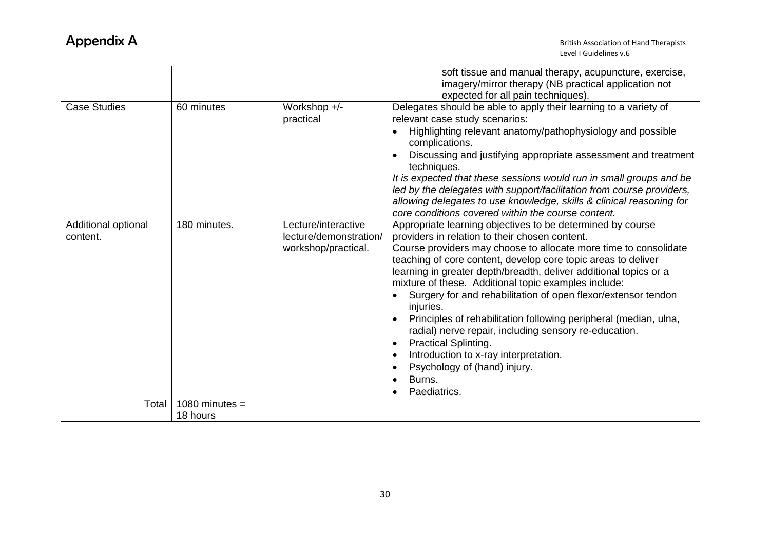|                                 |                              |                                                                      | soft tissue and manual therapy, acupuncture, exercise,<br>imagery/mirror therapy (NB practical application not<br>expected for all pain techniques).                                                                                                                                                                                                                                                                                                                                                                                                                                                                                                                                                                        |
|---------------------------------|------------------------------|----------------------------------------------------------------------|-----------------------------------------------------------------------------------------------------------------------------------------------------------------------------------------------------------------------------------------------------------------------------------------------------------------------------------------------------------------------------------------------------------------------------------------------------------------------------------------------------------------------------------------------------------------------------------------------------------------------------------------------------------------------------------------------------------------------------|
| <b>Case Studies</b>             | 60 minutes                   | Workshop +/-<br>practical                                            | Delegates should be able to apply their learning to a variety of<br>relevant case study scenarios:<br>Highlighting relevant anatomy/pathophysiology and possible<br>complications.<br>Discussing and justifying appropriate assessment and treatment<br>techniques.<br>It is expected that these sessions would run in small groups and be<br>led by the delegates with support/facilitation from course providers,<br>allowing delegates to use knowledge, skills & clinical reasoning for<br>core conditions covered within the course content.                                                                                                                                                                           |
| Additional optional<br>content. | 180 minutes.                 | Lecture/interactive<br>lecture/demonstration/<br>workshop/practical. | Appropriate learning objectives to be determined by course<br>providers in relation to their chosen content.<br>Course providers may choose to allocate more time to consolidate<br>teaching of core content, develop core topic areas to deliver<br>learning in greater depth/breadth, deliver additional topics or a<br>mixture of these. Additional topic examples include:<br>Surgery for and rehabilitation of open flexor/extensor tendon<br>injuries.<br>Principles of rehabilitation following peripheral (median, ulna,<br>radial) nerve repair, including sensory re-education.<br><b>Practical Splinting.</b><br>Introduction to x-ray interpretation.<br>Psychology of (hand) injury.<br>Burns.<br>Paediatrics. |
| Total                           | 1080 minutes $=$<br>18 hours |                                                                      |                                                                                                                                                                                                                                                                                                                                                                                                                                                                                                                                                                                                                                                                                                                             |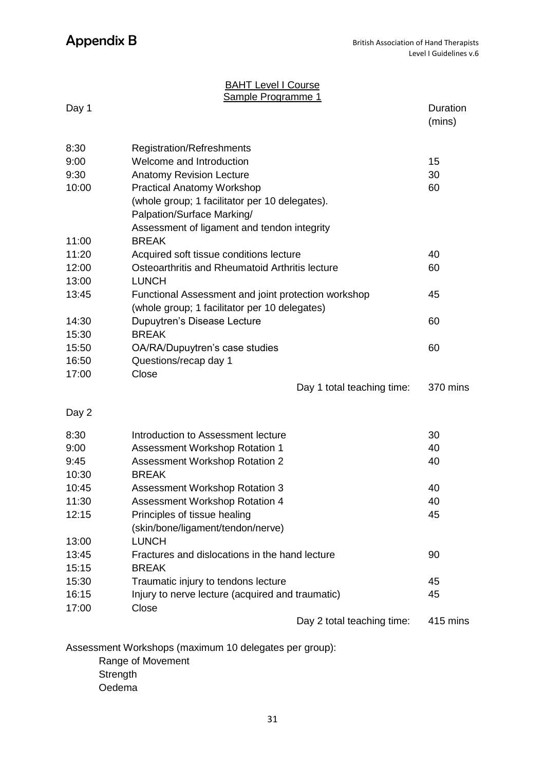#### **BAHT Level I Course** Sample Programme 1

| Day 1 | <u>ampio i Togrammo T</u>                           |                            | <b>Duration</b><br>(mins) |
|-------|-----------------------------------------------------|----------------------------|---------------------------|
| 8:30  | Registration/Refreshments                           |                            |                           |
| 9:00  | Welcome and Introduction                            |                            | 15                        |
| 9:30  | <b>Anatomy Revision Lecture</b>                     |                            | 30                        |
| 10:00 | <b>Practical Anatomy Workshop</b>                   |                            | 60                        |
|       | (whole group; 1 facilitator per 10 delegates).      |                            |                           |
|       | Palpation/Surface Marking/                          |                            |                           |
|       | Assessment of ligament and tendon integrity         |                            |                           |
| 11:00 | <b>BREAK</b>                                        |                            |                           |
| 11:20 | Acquired soft tissue conditions lecture             |                            | 40                        |
| 12:00 | Osteoarthritis and Rheumatoid Arthritis lecture     |                            | 60                        |
| 13:00 | <b>LUNCH</b>                                        |                            |                           |
| 13:45 | Functional Assessment and joint protection workshop |                            | 45                        |
|       | (whole group; 1 facilitator per 10 delegates)       |                            |                           |
| 14:30 | Dupuytren's Disease Lecture                         |                            | 60                        |
| 15:30 | <b>BREAK</b>                                        |                            |                           |
| 15:50 | OA/RA/Dupuytren's case studies                      |                            | 60                        |
| 16:50 | Questions/recap day 1                               |                            |                           |
| 17:00 | Close                                               |                            |                           |
|       |                                                     | Day 1 total teaching time: | 370 mins                  |
| Day 2 |                                                     |                            |                           |
| 8:30  | Introduction to Assessment lecture                  |                            | 30                        |
| 9:00  | Assessment Workshop Rotation 1                      |                            | 40                        |
| 9:45  | Assessment Workshop Rotation 2                      |                            | 40                        |
| 10:30 | <b>BREAK</b>                                        |                            |                           |
| 10:45 | Assessment Workshop Rotation 3                      |                            | 40                        |
| 11:30 | Assessment Workshop Rotation 4                      |                            | 40                        |
| 12:15 | Principles of tissue healing                        |                            | 45                        |
|       | (skin/bone/ligament/tendon/nerve)                   |                            |                           |
| 13:00 | <b>LUNCH</b>                                        |                            |                           |
| 13:45 | Fractures and dislocations in the hand lecture      |                            | 90                        |
| 15:15 | <b>BREAK</b>                                        |                            |                           |
| 15:30 | Traumatic injury to tendons lecture                 |                            | 45                        |
| 16:15 | Injury to nerve lecture (acquired and traumatic)    |                            | 45                        |
| 17:00 | Close                                               | Day 2 total teaching time: | 415 mins                  |

Assessment Workshops (maximum 10 delegates per group):

Range of Movement

**Strength** 

Oedema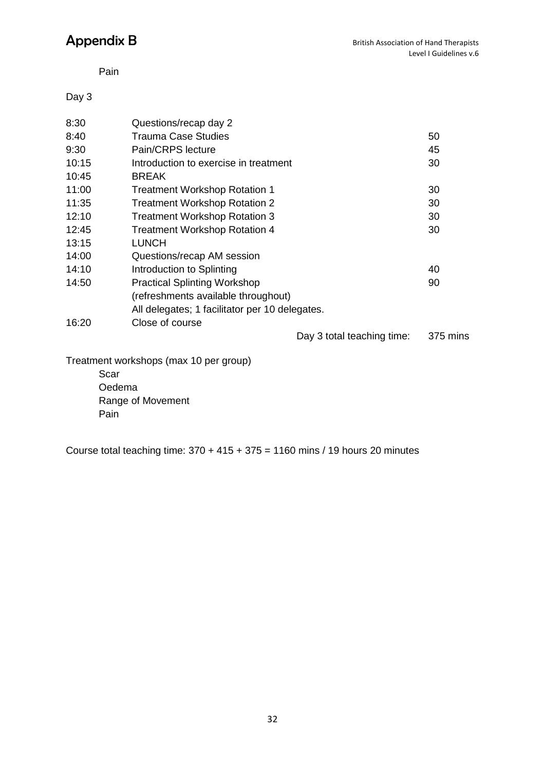Pain

Day 3

| 8:30  | Questions/recap day 2                          |          |
|-------|------------------------------------------------|----------|
| 8:40  | <b>Trauma Case Studies</b>                     | 50       |
| 9:30  | Pain/CRPS lecture                              | 45       |
| 10:15 | Introduction to exercise in treatment          | 30       |
| 10:45 | <b>BREAK</b>                                   |          |
| 11:00 | <b>Treatment Workshop Rotation 1</b>           | 30       |
| 11:35 | <b>Treatment Workshop Rotation 2</b>           | 30       |
| 12:10 | <b>Treatment Workshop Rotation 3</b>           | 30       |
| 12:45 | <b>Treatment Workshop Rotation 4</b>           | 30       |
| 13:15 | <b>LUNCH</b>                                   |          |
| 14:00 | Questions/recap AM session                     |          |
| 14:10 | Introduction to Splinting                      | 40       |
| 14:50 | <b>Practical Splinting Workshop</b>            | 90       |
|       | (refreshments available throughout)            |          |
|       | All delegates; 1 facilitator per 10 delegates. |          |
| 16:20 | Close of course                                |          |
|       | Day 3 total teaching time:                     | 375 mins |
|       | Treatment workshops (max 10 per group)         |          |
|       | Scar                                           |          |
|       | Oedema                                         |          |
|       | Range of Movement                              |          |
|       |                                                |          |

Pain

Course total teaching time:  $370 + 415 + 375 = 1160$  mins / 19 hours 20 minutes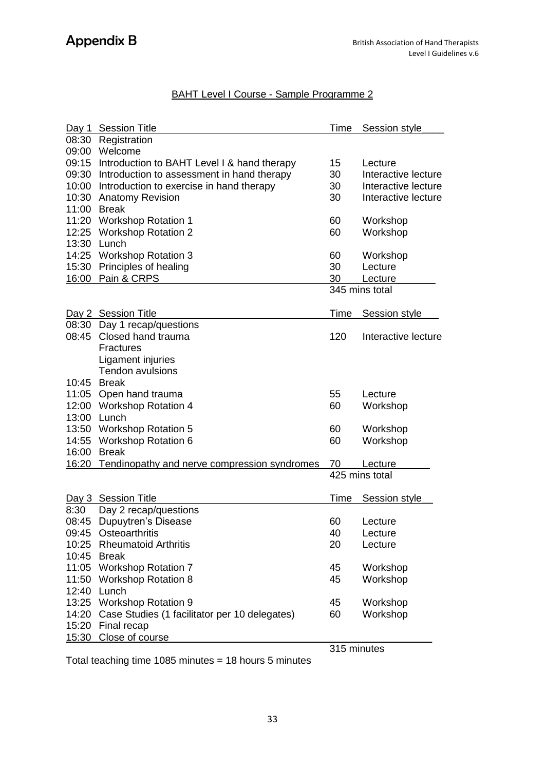### BAHT Level I Course - Sample Programme 2

|       | Day 1 Session Title                                 | Time        | Session style       |
|-------|-----------------------------------------------------|-------------|---------------------|
|       | 08:30 Registration                                  |             |                     |
|       | 09:00 Welcome                                       |             |                     |
|       | 09:15 Introduction to BAHT Level I & hand therapy   | 15          | Lecture             |
|       | 09:30 Introduction to assessment in hand therapy    | 30          | Interactive lecture |
|       | 10:00 Introduction to exercise in hand therapy      | 30          | Interactive lecture |
|       | 10:30 Anatomy Revision                              | 30          | Interactive lecture |
|       | 11:00 Break                                         |             |                     |
|       | 11:20 Workshop Rotation 1                           | 60          | Workshop            |
|       | 12:25 Workshop Rotation 2                           | 60          | Workshop            |
| 13:30 | Lunch                                               |             |                     |
|       | 14:25 Workshop Rotation 3                           | 60          | Workshop            |
|       | 15:30 Principles of healing                         | 30          | Lecture             |
|       | 16:00 Pain & CRPS                                   | 30          | Lecture             |
|       |                                                     |             | 345 mins total      |
|       |                                                     |             |                     |
|       | Day 2 Session Title                                 | Time        | Session style       |
|       | 08:30 Day 1 recap/questions                         |             |                     |
|       | 08:45 Closed hand trauma                            | 120         | Interactive lecture |
|       | <b>Fractures</b>                                    |             |                     |
|       | Ligament injuries                                   |             |                     |
|       | <b>Tendon avulsions</b>                             |             |                     |
|       | 10:45 Break                                         |             |                     |
|       | 11:05 Open hand trauma                              | 55          | Lecture             |
|       | 12:00 Workshop Rotation 4                           | 60          | Workshop            |
|       | 13:00 Lunch                                         |             |                     |
|       | 13:50 Workshop Rotation 5                           | 60          | Workshop            |
| 14:55 | <b>Workshop Rotation 6</b>                          | 60          | Workshop            |
| 16:00 | <b>Break</b>                                        |             |                     |
|       | 16:20 Tendinopathy and nerve compression syndromes  | 70          | Lecture             |
|       |                                                     |             | 425 mins total      |
|       |                                                     |             |                     |
|       | Day 3 Session Title                                 | Time        | Session style       |
| 8:30  | Day 2 recap/questions                               |             |                     |
|       | 08:45 Dupuytren's Disease                           | 60          | Lecture             |
|       | 09:45 Osteoarthritis                                | 40          | Lecture             |
|       | 10:25 Rheumatoid Arthritis                          | 20          | Lecture             |
|       | 10:45 Break                                         |             |                     |
|       | 11:05 Workshop Rotation 7                           | 45          | Workshop            |
|       | 11:50 Workshop Rotation 8                           | 45          | Workshop            |
|       | 12:40 Lunch                                         |             |                     |
|       | 13:25 Workshop Rotation 9                           | 45          | Workshop            |
|       | 14:20 Case Studies (1 facilitator per 10 delegates) | 60          | Workshop            |
|       | 15:20 Final recap                                   |             |                     |
|       | 15:30 Close of course                               |             |                     |
|       |                                                     | 315 minutes |                     |

Total teaching time 1085 minutes = 18 hours 5 minutes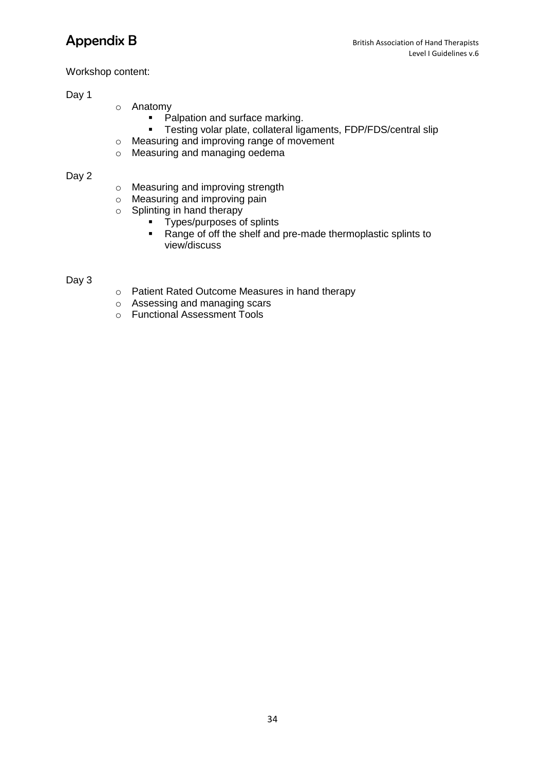#### Workshop content:

### Day 1

- o Anatomy
	- Palpation and surface marking.<br>• Testing volar plate, collateral lig
		- Testing volar plate, collateral ligaments, FDP/FDS/central slip
- o Measuring and improving range of movement
- o Measuring and managing oedema

#### Day 2

- o Measuring and improving strength
- o Measuring and improving pain
- o Splinting in hand therapy
	- **Types/purposes of splints**
	- Range of off the shelf and pre-made thermoplastic splints to view/discuss

#### Day 3

- o Patient Rated Outcome Measures in hand therapy
- o Assessing and managing scars
- o Functional Assessment Tools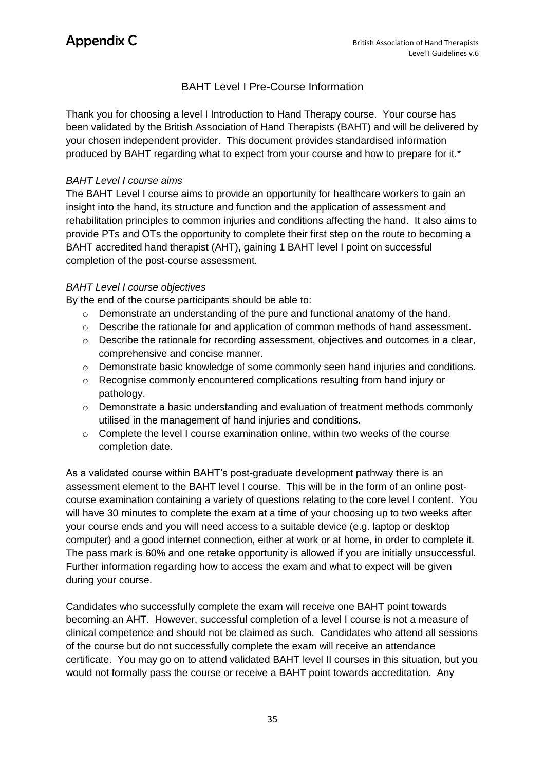### BAHT Level I Pre-Course Information

Thank you for choosing a level I Introduction to Hand Therapy course. Your course has been validated by the British Association of Hand Therapists (BAHT) and will be delivered by your chosen independent provider. This document provides standardised information produced by BAHT regarding what to expect from your course and how to prepare for it.\*

#### *BAHT Level I course aims*

The BAHT Level I course aims to provide an opportunity for healthcare workers to gain an insight into the hand, its structure and function and the application of assessment and rehabilitation principles to common injuries and conditions affecting the hand. It also aims to provide PTs and OTs the opportunity to complete their first step on the route to becoming a BAHT accredited hand therapist (AHT), gaining 1 BAHT level I point on successful completion of the post-course assessment.

### *BAHT Level I course objectives*

By the end of the course participants should be able to:

- o Demonstrate an understanding of the pure and functional anatomy of the hand.
- $\circ$  Describe the rationale for and application of common methods of hand assessment.
- o Describe the rationale for recording assessment, objectives and outcomes in a clear, comprehensive and concise manner.
- o Demonstrate basic knowledge of some commonly seen hand injuries and conditions.
- o Recognise commonly encountered complications resulting from hand injury or pathology.
- o Demonstrate a basic understanding and evaluation of treatment methods commonly utilised in the management of hand injuries and conditions.
- $\circ$  Complete the level I course examination online, within two weeks of the course completion date.

As a validated course within BAHT's post-graduate development pathway there is an assessment element to the BAHT level I course. This will be in the form of an online postcourse examination containing a variety of questions relating to the core level I content. You will have 30 minutes to complete the exam at a time of your choosing up to two weeks after your course ends and you will need access to a suitable device (e.g. laptop or desktop computer) and a good internet connection, either at work or at home, in order to complete it. The pass mark is 60% and one retake opportunity is allowed if you are initially unsuccessful. Further information regarding how to access the exam and what to expect will be given during your course.

Candidates who successfully complete the exam will receive one BAHT point towards becoming an AHT. However, successful completion of a level I course is not a measure of clinical competence and should not be claimed as such. Candidates who attend all sessions of the course but do not successfully complete the exam will receive an attendance certificate. You may go on to attend validated BAHT level II courses in this situation, but you would not formally pass the course or receive a BAHT point towards accreditation. Any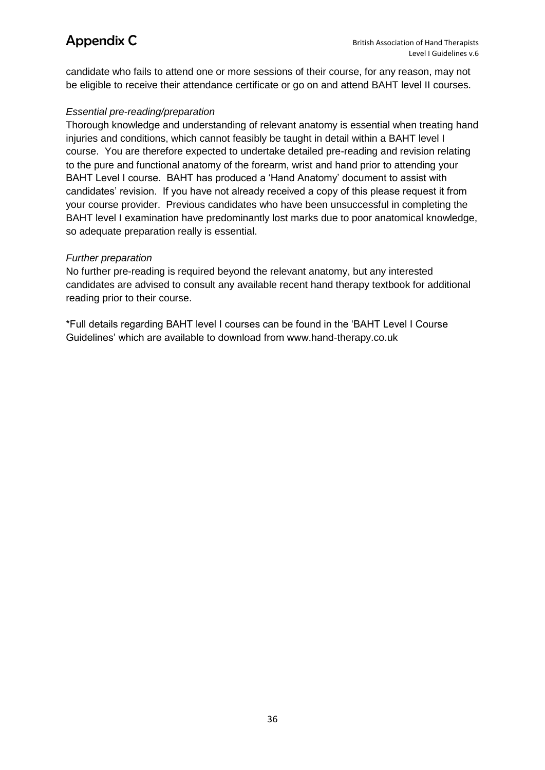candidate who fails to attend one or more sessions of their course, for any reason, may not be eligible to receive their attendance certificate or go on and attend BAHT level II courses.

#### *Essential pre-reading/preparation*

Thorough knowledge and understanding of relevant anatomy is essential when treating hand injuries and conditions, which cannot feasibly be taught in detail within a BAHT level I course. You are therefore expected to undertake detailed pre-reading and revision relating to the pure and functional anatomy of the forearm, wrist and hand prior to attending your BAHT Level I course. BAHT has produced a 'Hand Anatomy' document to assist with candidates' revision. If you have not already received a copy of this please request it from your course provider. Previous candidates who have been unsuccessful in completing the BAHT level I examination have predominantly lost marks due to poor anatomical knowledge, so adequate preparation really is essential.

#### *Further preparation*

No further pre-reading is required beyond the relevant anatomy, but any interested candidates are advised to consult any available recent hand therapy textbook for additional reading prior to their course.

\*Full details regarding BAHT level I courses can be found in the 'BAHT Level I Course Guidelines' which are available to download from www.hand-therapy.co.uk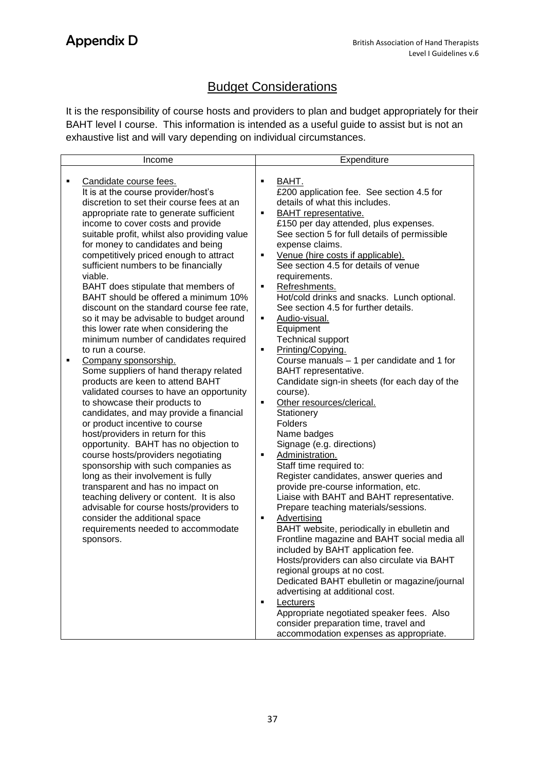## **Budget Considerations**

It is the responsibility of course hosts and providers to plan and budget appropriately for their BAHT level I course. This information is intended as a useful guide to assist but is not an exhaustive list and will vary depending on individual circumstances.

|   | Income                                                                                                                                                                                                                                                                                                                                                                                                                                                                                                                                                                                                                                                                                                                                                                                                                                                                                                                                                                                                                                                                                                                                                                                                                                                                                                                                  |                                                              | Expenditure                                                                                                                                                                                                                                                                                                                                                                                                                                                                                                                                                                                                                                                                                                                                                                                                                                                                                                                                                                                                                                                                                                                                                                                                                                                                                                                                                                                                                                |
|---|-----------------------------------------------------------------------------------------------------------------------------------------------------------------------------------------------------------------------------------------------------------------------------------------------------------------------------------------------------------------------------------------------------------------------------------------------------------------------------------------------------------------------------------------------------------------------------------------------------------------------------------------------------------------------------------------------------------------------------------------------------------------------------------------------------------------------------------------------------------------------------------------------------------------------------------------------------------------------------------------------------------------------------------------------------------------------------------------------------------------------------------------------------------------------------------------------------------------------------------------------------------------------------------------------------------------------------------------|--------------------------------------------------------------|--------------------------------------------------------------------------------------------------------------------------------------------------------------------------------------------------------------------------------------------------------------------------------------------------------------------------------------------------------------------------------------------------------------------------------------------------------------------------------------------------------------------------------------------------------------------------------------------------------------------------------------------------------------------------------------------------------------------------------------------------------------------------------------------------------------------------------------------------------------------------------------------------------------------------------------------------------------------------------------------------------------------------------------------------------------------------------------------------------------------------------------------------------------------------------------------------------------------------------------------------------------------------------------------------------------------------------------------------------------------------------------------------------------------------------------------|
| ٠ | Candidate course fees.<br>It is at the course provider/host's<br>discretion to set their course fees at an<br>appropriate rate to generate sufficient<br>income to cover costs and provide<br>suitable profit, whilst also providing value<br>for money to candidates and being<br>competitively priced enough to attract<br>sufficient numbers to be financially<br>viable.<br>BAHT does stipulate that members of<br>BAHT should be offered a minimum 10%<br>discount on the standard course fee rate,<br>so it may be advisable to budget around<br>this lower rate when considering the<br>minimum number of candidates required<br>to run a course.<br>Company sponsorship.<br>Some suppliers of hand therapy related<br>products are keen to attend BAHT<br>validated courses to have an opportunity<br>to showcase their products to<br>candidates, and may provide a financial<br>or product incentive to course<br>host/providers in return for this<br>opportunity. BAHT has no objection to<br>course hosts/providers negotiating<br>sponsorship with such companies as<br>long as their involvement is fully<br>transparent and has no impact on<br>teaching delivery or content. It is also<br>advisable for course hosts/providers to<br>consider the additional space<br>requirements needed to accommodate<br>sponsors. | Ξ<br>٠<br>$\blacksquare$<br>٠<br>٠<br>Ξ<br>×,<br>٠<br>٠<br>٠ | BAHT.<br>£200 application fee. See section 4.5 for<br>details of what this includes.<br>BAHT representative.<br>£150 per day attended, plus expenses.<br>See section 5 for full details of permissible<br>expense claims.<br>Venue (hire costs if applicable).<br>See section 4.5 for details of venue<br>requirements.<br>Refreshments.<br>Hot/cold drinks and snacks. Lunch optional.<br>See section 4.5 for further details.<br>Audio-visual.<br>Equipment<br><b>Technical support</b><br>Printing/Copying.<br>Course manuals - 1 per candidate and 1 for<br>BAHT representative.<br>Candidate sign-in sheets (for each day of the<br>course).<br>Other resources/clerical.<br>Stationery<br>Folders<br>Name badges<br>Signage (e.g. directions)<br>Administration.<br>Staff time required to:<br>Register candidates, answer queries and<br>provide pre-course information, etc.<br>Liaise with BAHT and BAHT representative.<br>Prepare teaching materials/sessions.<br>Advertising<br>BAHT website, periodically in ebulletin and<br>Frontline magazine and BAHT social media all<br>included by BAHT application fee.<br>Hosts/providers can also circulate via BAHT<br>regional groups at no cost.<br>Dedicated BAHT ebulletin or magazine/journal<br>advertising at additional cost.<br>Lecturers<br>Appropriate negotiated speaker fees. Also<br>consider preparation time, travel and<br>accommodation expenses as appropriate. |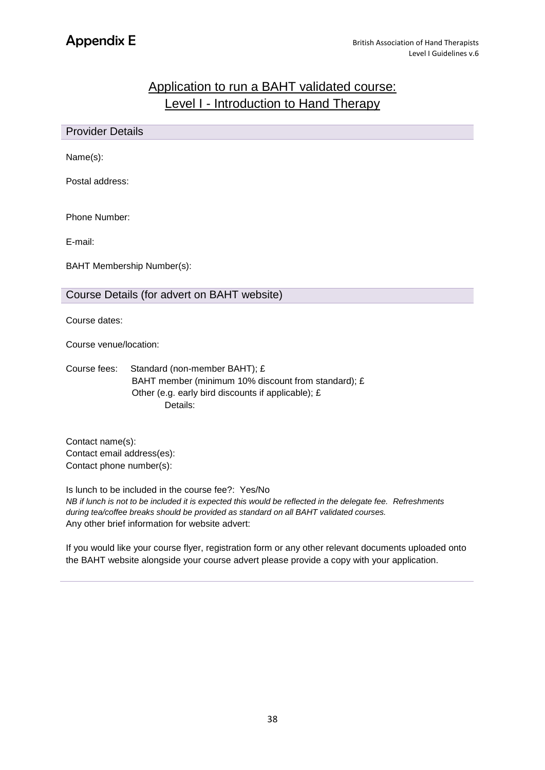## Application to run a BAHT validated course: Level I - Introduction to Hand Therapy

| <b>Provider Details</b> |                                                                                                                                                        |  |  |  |
|-------------------------|--------------------------------------------------------------------------------------------------------------------------------------------------------|--|--|--|
| Name(s):                |                                                                                                                                                        |  |  |  |
| Postal address:         |                                                                                                                                                        |  |  |  |
| Phone Number:           |                                                                                                                                                        |  |  |  |
| E-mail:                 |                                                                                                                                                        |  |  |  |
|                         | <b>BAHT Membership Number(s):</b>                                                                                                                      |  |  |  |
|                         | Course Details (for advert on BAHT website)                                                                                                            |  |  |  |
| Course dates:           |                                                                                                                                                        |  |  |  |
|                         | Course venue/location:                                                                                                                                 |  |  |  |
| Course fees:            | Standard (non-member BAHT); £<br>BAHT member (minimum 10% discount from standard); £<br>Other (e.g. early bird discounts if applicable); £<br>Details: |  |  |  |

Contact name(s): Contact email address(es): Contact phone number(s):

Is lunch to be included in the course fee?: Yes/No *NB if lunch is not to be included it is expected this would be reflected in the delegate fee. Refreshments during tea/coffee breaks should be provided as standard on all BAHT validated courses.* Any other brief information for website advert:

If you would like your course flyer, registration form or any other relevant documents uploaded onto the BAHT website alongside your course advert please provide a copy with your application.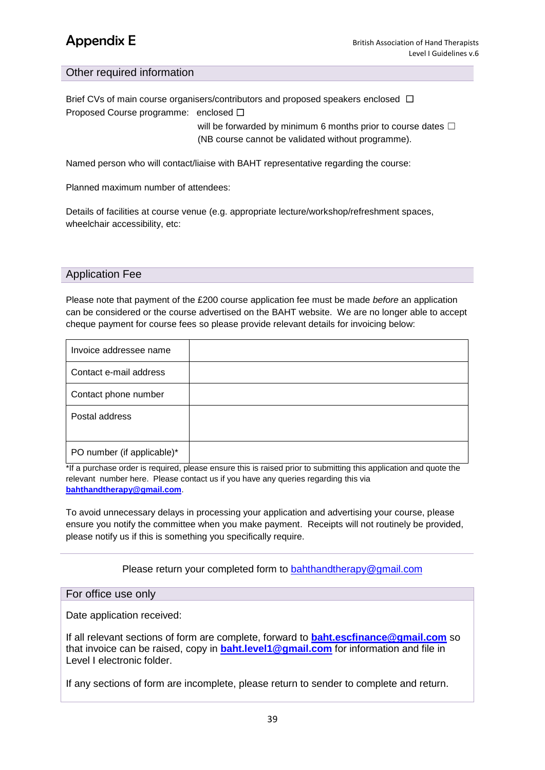#### Other required information

Brief CVs of main course organisers/contributors and proposed speakers enclosed □ Proposed Course programme: enclosed ☐ will be forwarded by minimum 6 months prior to course dates  $\Box$ 

(NB course cannot be validated without programme).

Named person who will contact/liaise with BAHT representative regarding the course:

Planned maximum number of attendees:

Details of facilities at course venue (e.g. appropriate lecture/workshop/refreshment spaces, wheelchair accessibility, etc:

#### Application Fee

Please note that payment of the £200 course application fee must be made *before* an application can be considered or the course advertised on the BAHT website. We are no longer able to accept cheque payment for course fees so please provide relevant details for invoicing below:

| Invoice addressee name     |  |
|----------------------------|--|
| Contact e-mail address     |  |
| Contact phone number       |  |
| Postal address             |  |
| PO number (if applicable)* |  |

\*If a purchase order is required, please ensure this is raised prior to submitting this application and quote the relevant number here. Please contact us if you have any queries regarding this via **[bahthandtherapy@gmail.com](mailto:bahthandtherapy@gmail.com)**.

To avoid unnecessary delays in processing your application and advertising your course, please ensure you notify the committee when you make payment. Receipts will not routinely be provided, please notify us if this is something you specifically require.

#### Please return your completed form to [bahthandtherapy@gmail.com](mailto:bahthandtherapy@gmail.com)

#### For office use only

Date application received:

If all relevant sections of form are complete, forward to **[baht.escfinance@gmail.com](mailto:baht.escfinance@gmail.com)** so that invoice can be raised, copy in **[baht.level1@gmail.com](mailto:baht.level1@gmail.com)** for information and file in Level I electronic folder.

If any sections of form are incomplete, please return to sender to complete and return.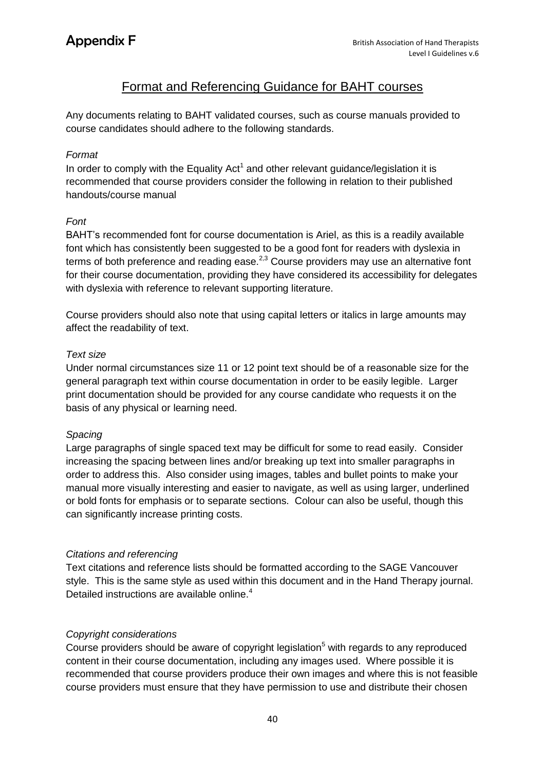## Format and Referencing Guidance for BAHT courses

Any documents relating to BAHT validated courses, such as course manuals provided to course candidates should adhere to the following standards.

#### *Format*

In order to comply with the Equality Act<sup>1</sup> and other relevant guidance/legislation it is recommended that course providers consider the following in relation to their published handouts/course manual

#### *Font*

BAHT's recommended font for course documentation is Ariel, as this is a readily available font which has consistently been suggested to be a good font for readers with dyslexia in terms of both preference and reading ease. $^{2,3}$  Course providers may use an alternative font for their course documentation, providing they have considered its accessibility for delegates with dyslexia with reference to relevant supporting literature.

Course providers should also note that using capital letters or italics in large amounts may affect the readability of text.

#### *Text size*

Under normal circumstances size 11 or 12 point text should be of a reasonable size for the general paragraph text within course documentation in order to be easily legible. Larger print documentation should be provided for any course candidate who requests it on the basis of any physical or learning need.

#### *Spacing*

Large paragraphs of single spaced text may be difficult for some to read easily. Consider increasing the spacing between lines and/or breaking up text into smaller paragraphs in order to address this. Also consider using images, tables and bullet points to make your manual more visually interesting and easier to navigate, as well as using larger, underlined or bold fonts for emphasis or to separate sections. Colour can also be useful, though this can significantly increase printing costs.

### *Citations and referencing*

Text citations and reference lists should be formatted according to the SAGE Vancouver style. This is the same style as used within this document and in the Hand Therapy journal. Detailed instructions are available online.<sup>4</sup>

#### *Copyright considerations*

Course providers should be aware of copyright legislation<sup>5</sup> with regards to any reproduced content in their course documentation, including any images used. Where possible it is recommended that course providers produce their own images and where this is not feasible course providers must ensure that they have permission to use and distribute their chosen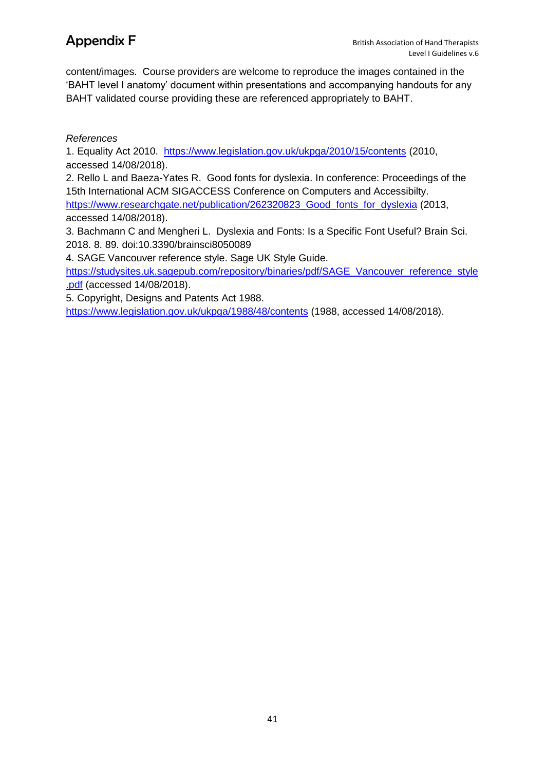content/images. Course providers are welcome to reproduce the images contained in the 'BAHT level I anatomy' document within presentations and accompanying handouts for any BAHT validated course providing these are referenced appropriately to BAHT.

### *References*

1. Equality Act 2010. <https://www.legislation.gov.uk/ukpga/2010/15/contents> (2010, accessed 14/08/2018).

2. Rello L and Baeza-Yates R. Good fonts for dyslexia. In conference: Proceedings of the 15th International ACM SIGACCESS Conference on Computers and Accessibilty. [https://www.researchgate.net/publication/262320823\\_Good\\_fonts\\_for\\_dyslexia](https://www.researchgate.net/publication/262320823_Good_fonts_for_dyslexia) (2013, accessed 14/08/2018).

3. Bachmann C and Mengheri L. Dyslexia and Fonts: Is a Specific Font Useful? Brain Sci. 2018. 8. 89. doi:10.3390/brainsci8050089

4. SAGE Vancouver reference style. Sage UK Style Guide.

[https://studysites.uk.sagepub.com/repository/binaries/pdf/SAGE\\_Vancouver\\_reference\\_style](https://studysites.uk.sagepub.com/repository/binaries/pdf/SAGE_Vancouver_reference_style.pdf) [.pdf](https://studysites.uk.sagepub.com/repository/binaries/pdf/SAGE_Vancouver_reference_style.pdf) (accessed 14/08/2018).

5. Copyright, Designs and Patents Act 1988.

<https://www.legislation.gov.uk/ukpga/1988/48/contents> (1988, accessed 14/08/2018).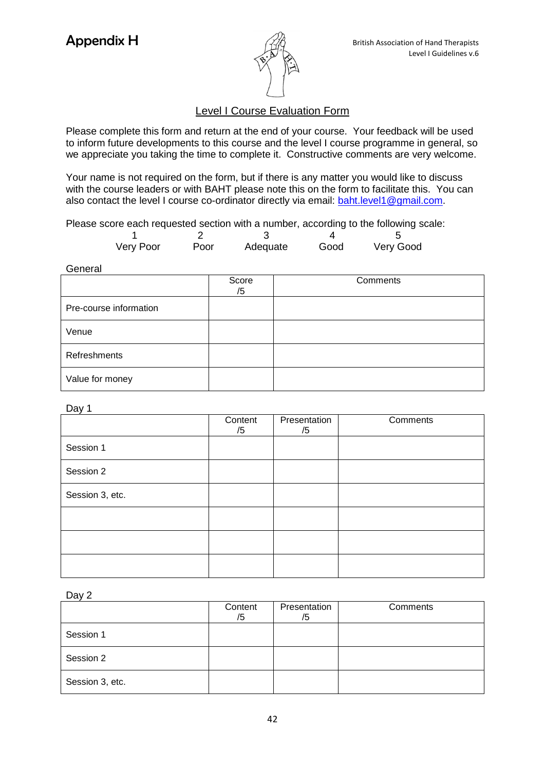

### Level I Course Evaluation Form

Please complete this form and return at the end of your course. Your feedback will be used to inform future developments to this course and the level I course programme in general, so we appreciate you taking the time to complete it. Constructive comments are very welcome.

Your name is not required on the form, but if there is any matter you would like to discuss with the course leaders or with BAHT please note this on the form to facilitate this. You can also contact the level I course co-ordinator directly via email: [baht.level1@gmail.com.](mailto:baht.level1@gmail.com)

Please score each requested section with a number, according to the following scale:

| Very Poor | Poor | Adequate | Good | Very Good |  |
|-----------|------|----------|------|-----------|--|

General

|                        | Score<br>/5 | Comments |
|------------------------|-------------|----------|
| Pre-course information |             |          |
| Venue                  |             |          |
| Refreshments           |             |          |
| Value for money        |             |          |

#### Day 1

|                 | Content<br>/5 | Presentation<br>/5 | Comments |
|-----------------|---------------|--------------------|----------|
| Session 1       |               |                    |          |
| Session 2       |               |                    |          |
| Session 3, etc. |               |                    |          |
|                 |               |                    |          |
|                 |               |                    |          |
|                 |               |                    |          |

Day 2

|                 | Content<br>/5 | Presentation<br>/5 | Comments |
|-----------------|---------------|--------------------|----------|
| Session 1       |               |                    |          |
| Session 2       |               |                    |          |
| Session 3, etc. |               |                    |          |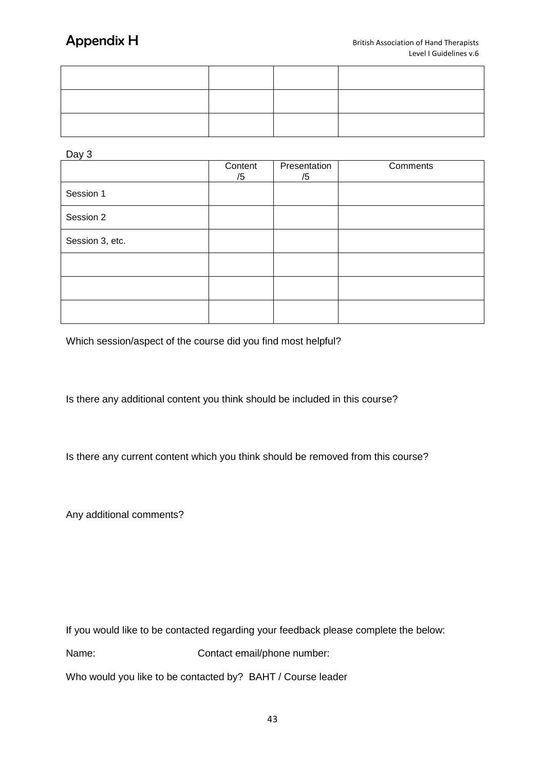Day 3

|                 | Content<br>/5 | Presentation<br>/5 | Comments |
|-----------------|---------------|--------------------|----------|
| Session 1       |               |                    |          |
| Session 2       |               |                    |          |
| Session 3, etc. |               |                    |          |
|                 |               |                    |          |
|                 |               |                    |          |
|                 |               |                    |          |

Which session/aspect of the course did you find most helpful?

Is there any additional content you think should be included in this course?

Is there any current content which you think should be removed from this course?

Any additional comments?

If you would like to be contacted regarding your feedback please complete the below:

Name: Contact email/phone number:

Who would you like to be contacted by? BAHT / Course leader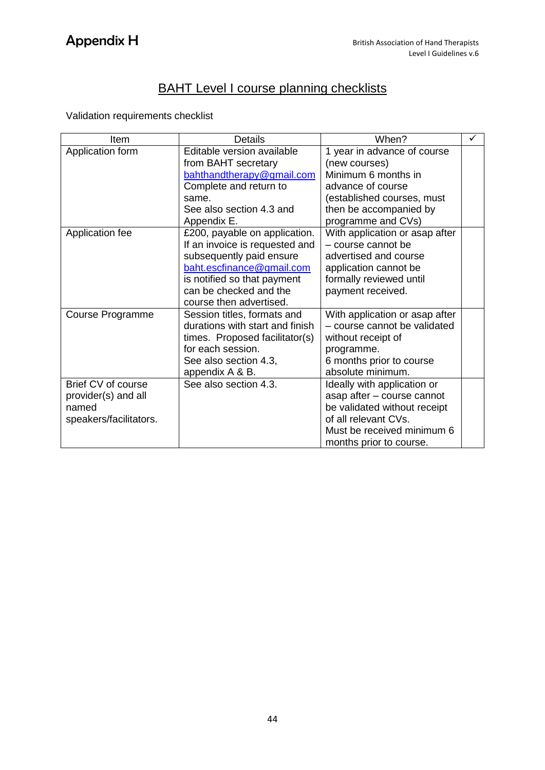## **BAHT Level I course planning checklists**

Validation requirements checklist

| Item                   | <b>Details</b>                  | When?                          | ✓ |
|------------------------|---------------------------------|--------------------------------|---|
| Application form       | Editable version available      | 1 year in advance of course    |   |
|                        | from BAHT secretary             | (new courses)                  |   |
|                        | bahthandtherapy@gmail.com       | Minimum 6 months in            |   |
|                        | Complete and return to          | advance of course              |   |
|                        | same.                           | (established courses, must     |   |
|                        | See also section 4.3 and        | then be accompanied by         |   |
|                        | Appendix E.                     | programme and CVs)             |   |
| Application fee        | £200, payable on application.   | With application or asap after |   |
|                        | If an invoice is requested and  | - course cannot be             |   |
|                        | subsequently paid ensure        | advertised and course          |   |
|                        | baht.escfinance@gmail.com       | application cannot be          |   |
|                        | is notified so that payment     | formally reviewed until        |   |
|                        | can be checked and the          | payment received.              |   |
|                        | course then advertised.         |                                |   |
| Course Programme       | Session titles, formats and     | With application or asap after |   |
|                        | durations with start and finish | - course cannot be validated   |   |
|                        | times. Proposed facilitator(s)  | without receipt of             |   |
|                        | for each session.               | programme.                     |   |
|                        | See also section 4.3,           | 6 months prior to course       |   |
|                        | appendix A & B.                 | absolute minimum.              |   |
| Brief CV of course     | See also section 4.3.           | Ideally with application or    |   |
| provider(s) and all    |                                 | asap after - course cannot     |   |
| named                  |                                 | be validated without receipt   |   |
| speakers/facilitators. |                                 | of all relevant CVs.           |   |
|                        |                                 | Must be received minimum 6     |   |
|                        |                                 | months prior to course.        |   |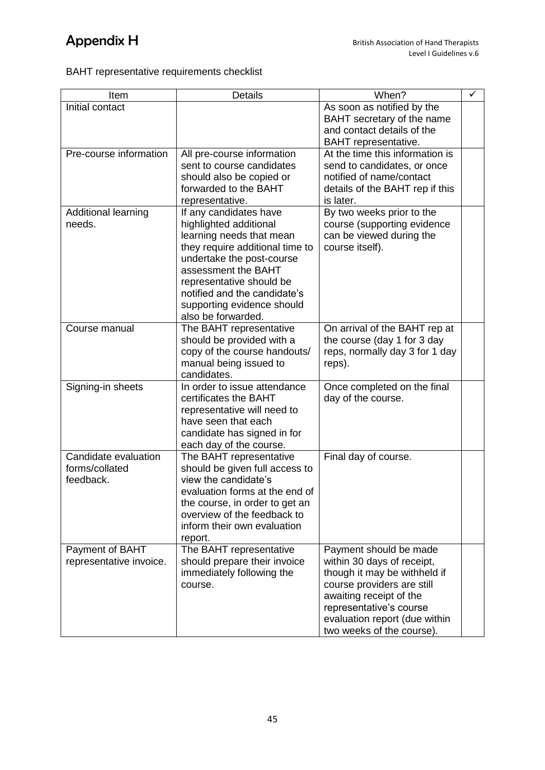## BAHT representative requirements checklist

| Item                                                | <b>Details</b>                                                                                                                                                                                                                                                                      | When?                                                                                                                                                                                                                                  | ✓ |
|-----------------------------------------------------|-------------------------------------------------------------------------------------------------------------------------------------------------------------------------------------------------------------------------------------------------------------------------------------|----------------------------------------------------------------------------------------------------------------------------------------------------------------------------------------------------------------------------------------|---|
| Initial contact                                     |                                                                                                                                                                                                                                                                                     | As soon as notified by the<br>BAHT secretary of the name<br>and contact details of the<br>BAHT representative.                                                                                                                         |   |
| Pre-course information                              | All pre-course information<br>sent to course candidates<br>should also be copied or<br>forwarded to the BAHT<br>representative.                                                                                                                                                     | At the time this information is<br>send to candidates, or once<br>notified of name/contact<br>details of the BAHT rep if this<br>is later.                                                                                             |   |
| Additional learning<br>needs.                       | If any candidates have<br>highlighted additional<br>learning needs that mean<br>they require additional time to<br>undertake the post-course<br>assessment the BAHT<br>representative should be<br>notified and the candidate's<br>supporting evidence should<br>also be forwarded. | By two weeks prior to the<br>course (supporting evidence<br>can be viewed during the<br>course itself).                                                                                                                                |   |
| Course manual                                       | The BAHT representative<br>should be provided with a<br>copy of the course handouts/<br>manual being issued to<br>candidates.                                                                                                                                                       | On arrival of the BAHT rep at<br>the course (day 1 for 3 day<br>reps, normally day 3 for 1 day<br>reps).                                                                                                                               |   |
| Signing-in sheets                                   | In order to issue attendance<br>certificates the BAHT<br>representative will need to<br>have seen that each<br>candidate has signed in for<br>each day of the course.                                                                                                               | Once completed on the final<br>day of the course.                                                                                                                                                                                      |   |
| Candidate evaluation<br>forms/collated<br>feedback. | The BAHT representative<br>should be given full access to<br>view the candidate's<br>evaluation forms at the end of<br>the course, in order to get an<br>overview of the feedback to<br>inform their own evaluation<br>report.                                                      | Final day of course.                                                                                                                                                                                                                   |   |
| Payment of BAHT<br>representative invoice.          | The BAHT representative<br>should prepare their invoice<br>immediately following the<br>course.                                                                                                                                                                                     | Payment should be made<br>within 30 days of receipt,<br>though it may be withheld if<br>course providers are still<br>awaiting receipt of the<br>representative's course<br>evaluation report (due within<br>two weeks of the course). |   |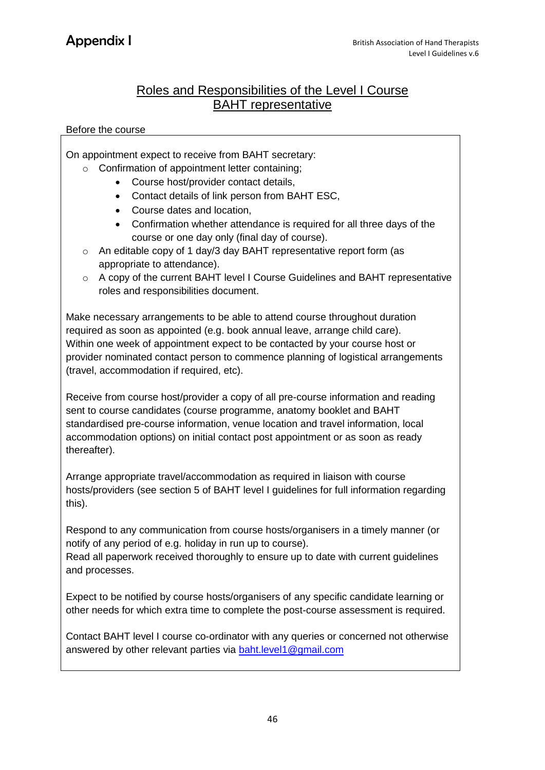## Roles and Responsibilities of the Level I Course BAHT representative

#### Before the course

On appointment expect to receive from BAHT secretary:

- o Confirmation of appointment letter containing;
	- Course host/provider contact details,
	- Contact details of link person from BAHT ESC,
	- Course dates and location,
	- Confirmation whether attendance is required for all three days of the course or one day only (final day of course).
- o An editable copy of 1 day/3 day BAHT representative report form (as appropriate to attendance).
- o A copy of the current BAHT level I Course Guidelines and BAHT representative roles and responsibilities document.

Make necessary arrangements to be able to attend course throughout duration required as soon as appointed (e.g. book annual leave, arrange child care). Within one week of appointment expect to be contacted by your course host or provider nominated contact person to commence planning of logistical arrangements (travel, accommodation if required, etc).

Receive from course host/provider a copy of all pre-course information and reading sent to course candidates (course programme, anatomy booklet and BAHT standardised pre-course information, venue location and travel information, local accommodation options) on initial contact post appointment or as soon as ready thereafter).

Arrange appropriate travel/accommodation as required in liaison with course hosts/providers (see section 5 of BAHT level I guidelines for full information regarding this).

Respond to any communication from course hosts/organisers in a timely manner (or notify of any period of e.g. holiday in run up to course).

Read all paperwork received thoroughly to ensure up to date with current guidelines and processes.

Expect to be notified by course hosts/organisers of any specific candidate learning or other needs for which extra time to complete the post-course assessment is required.

Contact BAHT level I course co-ordinator with any queries or concerned not otherwise answered by other relevant parties via [baht.level1@gmail.com](mailto:baht.level1@gmail.com)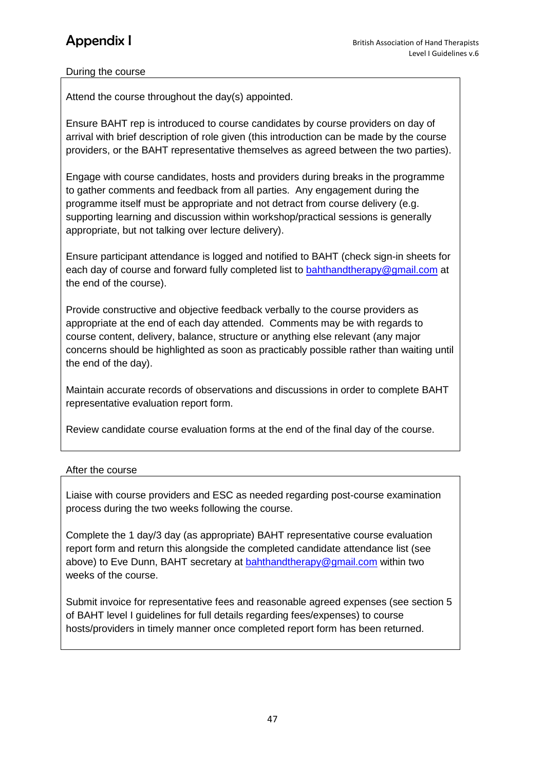### During the course

Attend the course throughout the day(s) appointed.

Ensure BAHT rep is introduced to course candidates by course providers on day of arrival with brief description of role given (this introduction can be made by the course providers, or the BAHT representative themselves as agreed between the two parties).

Engage with course candidates, hosts and providers during breaks in the programme to gather comments and feedback from all parties. Any engagement during the programme itself must be appropriate and not detract from course delivery (e.g. supporting learning and discussion within workshop/practical sessions is generally appropriate, but not talking over lecture delivery).

Ensure participant attendance is logged and notified to BAHT (check sign-in sheets for each day of course and forward fully completed list to [bahthandtherapy@gmail.com](mailto:bahthandtherapy@gmail.com) at the end of the course).

Provide constructive and objective feedback verbally to the course providers as appropriate at the end of each day attended. Comments may be with regards to course content, delivery, balance, structure or anything else relevant (any major concerns should be highlighted as soon as practicably possible rather than waiting until the end of the day).

Maintain accurate records of observations and discussions in order to complete BAHT representative evaluation report form.

Review candidate course evaluation forms at the end of the final day of the course.

### After the course

Liaise with course providers and ESC as needed regarding post-course examination process during the two weeks following the course.

Complete the 1 day/3 day (as appropriate) BAHT representative course evaluation report form and return this alongside the completed candidate attendance list (see above) to Eve Dunn, BAHT secretary at **bahthandtherapy@gmail.com** within two weeks of the course.

Submit invoice for representative fees and reasonable agreed expenses (see section 5 of BAHT level I guidelines for full details regarding fees/expenses) to course hosts/providers in timely manner once completed report form has been returned.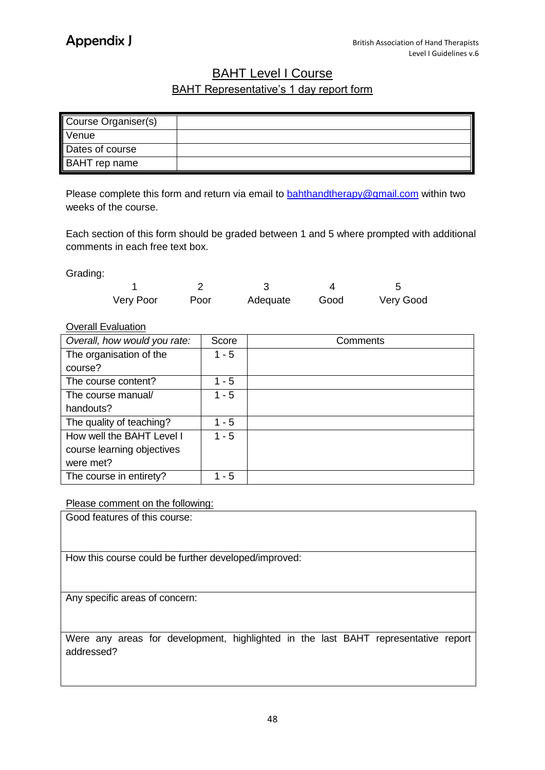## **BAHT Level I Course** BAHT Representative's 1 day report form

| Course Organiser(s)  |  |
|----------------------|--|
| Venue                |  |
| Dates of course      |  |
| <b>BAHT</b> rep name |  |

Please complete this form and return via email to **bahthandtherapy@gmail.com** within two weeks of the course.

Each section of this form should be graded between 1 and 5 where prompted with additional comments in each free text box.

Grading:

| Very Poor | Poor | Adequate | Good | Very Good |
|-----------|------|----------|------|-----------|

### Overall Evaluation

| Overall, how would you rate: | Score   | Comments |
|------------------------------|---------|----------|
| The organisation of the      | 1 - 5   |          |
| course?                      |         |          |
| The course content?          | $1 - 5$ |          |
| The course manual/           | $1 - 5$ |          |
| handouts?                    |         |          |
| The quality of teaching?     | 1 - 5   |          |
| How well the BAHT Level I    | $1 - 5$ |          |
| course learning objectives   |         |          |
| were met?                    |         |          |
| The course in entirety?      | 1 - 5   |          |

Please comment on the following:

Good features of this course:

How this course could be further developed/improved:

Any specific areas of concern:

Were any areas for development, highlighted in the last BAHT representative report addressed?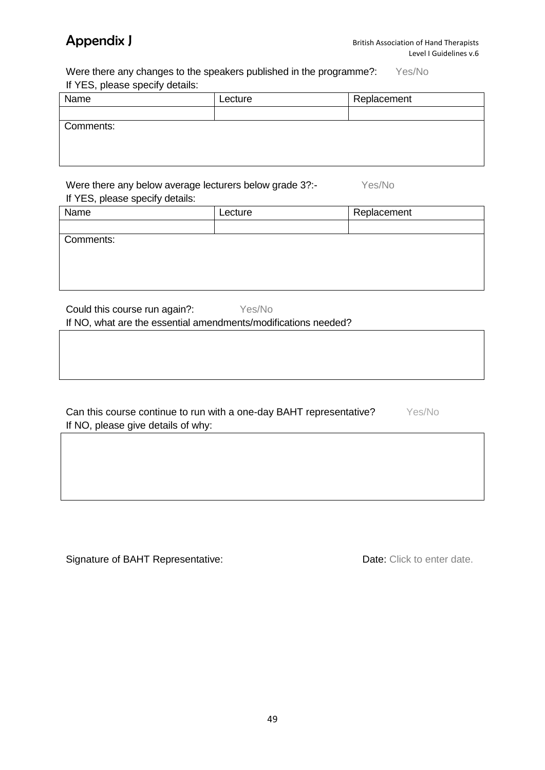Were there any changes to the speakers published in the programme?: Yes/No If YES, please specify details:

| Name      | Lecture | Replacement |
|-----------|---------|-------------|
|           |         |             |
| Comments: |         |             |
|           |         |             |
|           |         |             |
|           |         |             |

Were there any below average lecturers below grade 3?:- Yes/No If YES, please specify details:

| $\mu$ $\mu$ $\mu$ , $\mu$ $\sigma$ ast specify attains. |         |             |
|---------------------------------------------------------|---------|-------------|
| Name                                                    | Lecture | Replacement |
|                                                         |         |             |
| Comments:                                               |         |             |
|                                                         |         |             |
|                                                         |         |             |

Could this course run again?: Yes/No

If NO, what are the essential amendments/modifications needed?

| Can this course continue to run with a one-day BAHT representative? | Yes/No |
|---------------------------------------------------------------------|--------|
| If NO, please give details of why:                                  |        |

Signature of BAHT Representative: Date: Click to enter date.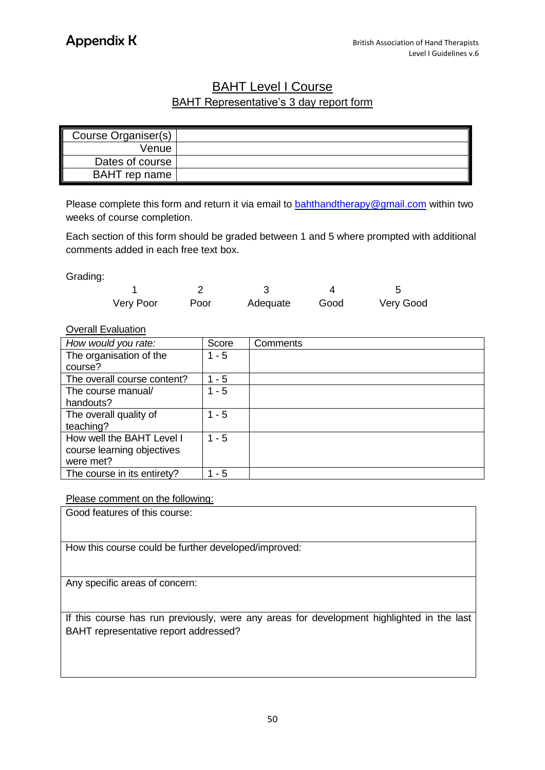## BAHT Level I Course BAHT Representative's 3 day report form

| Course Organiser(s) |  |
|---------------------|--|
| Venue               |  |
| Dates of course     |  |
| BAHT rep name       |  |

Please complete this form and return it via email to **bahthandtherapy@gmail.com** within two weeks of course completion.

Each section of this form should be graded between 1 and 5 where prompted with additional comments added in each free text box.

Grading:

| Very Poor | Poor | Adequate | Good | Very Good |
|-----------|------|----------|------|-----------|

#### Overall Evaluation

| How would you rate:         | Score   | Comments |
|-----------------------------|---------|----------|
| The organisation of the     | $1 - 5$ |          |
| course?                     |         |          |
| The overall course content? | - 5     |          |
| The course manual/          | $1 - 5$ |          |
| handouts?                   |         |          |
| The overall quality of      | - 5     |          |
| teaching?                   |         |          |
| How well the BAHT Level I   | $1 - 5$ |          |
| course learning objectives  |         |          |
| were met?                   |         |          |
| The course in its entirety? | - 5     |          |

Please comment on the following:

Good features of this course:

How this course could be further developed/improved:

Any specific areas of concern:

If this course has run previously, were any areas for development highlighted in the last BAHT representative report addressed?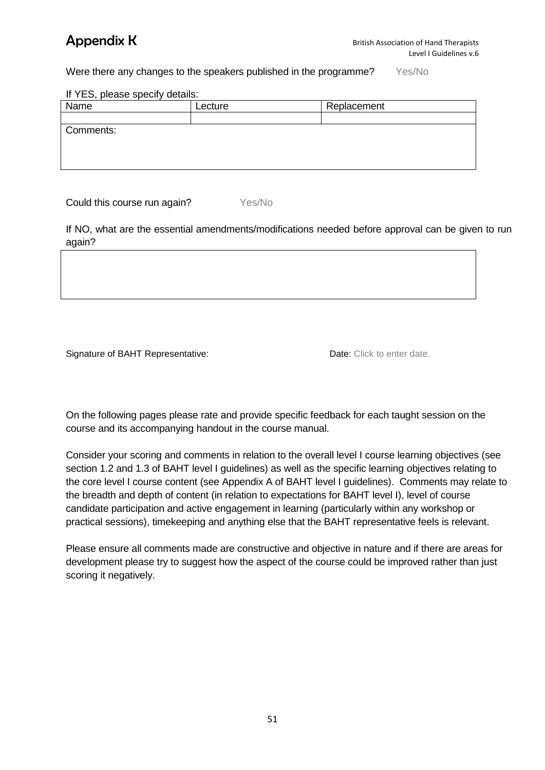Were there any changes to the speakers published in the programme? Yes/No

If YES, please specify details:

| .         |         |             |
|-----------|---------|-------------|
| Name      | Lecture | Replacement |
|           |         |             |
| Comments: |         |             |
|           |         |             |
|           |         |             |
|           |         |             |
|           |         |             |

Could this course run again? Yes/No

If NO, what are the essential amendments/modifications needed before approval can be given to run again?

Signature of BAHT Representative: Date: Click to enter date.

On the following pages please rate and provide specific feedback for each taught session on the course and its accompanying handout in the course manual.

Consider your scoring and comments in relation to the overall level I course learning objectives (see section 1.2 and 1.3 of BAHT level I guidelines) as well as the specific learning objectives relating to the core level I course content (see Appendix A of BAHT level I guidelines). Comments may relate to the breadth and depth of content (in relation to expectations for BAHT level I), level of course candidate participation and active engagement in learning (particularly within any workshop or practical sessions), timekeeping and anything else that the BAHT representative feels is relevant.

Please ensure all comments made are constructive and objective in nature and if there are areas for development please try to suggest how the aspect of the course could be improved rather than just scoring it negatively.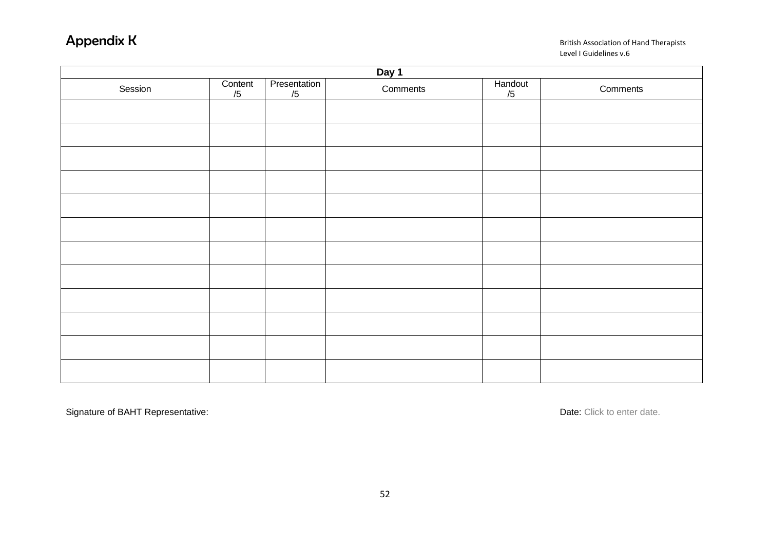### **Appendix K** British Association of Hand Therapists Level I Guidelines v.6

| Day 1   |               |                           |          |               |          |
|---------|---------------|---------------------------|----------|---------------|----------|
| Session | Content<br>/5 | <b>Presentation</b><br>/5 | Comments | Handout<br>/5 | Comments |
|         |               |                           |          |               |          |
|         |               |                           |          |               |          |
|         |               |                           |          |               |          |
|         |               |                           |          |               |          |
|         |               |                           |          |               |          |
|         |               |                           |          |               |          |
|         |               |                           |          |               |          |
|         |               |                           |          |               |          |
|         |               |                           |          |               |          |
|         |               |                           |          |               |          |
|         |               |                           |          |               |          |
|         |               |                           |          |               |          |

Signature of BAHT Representative: **Date:** Click to enter date.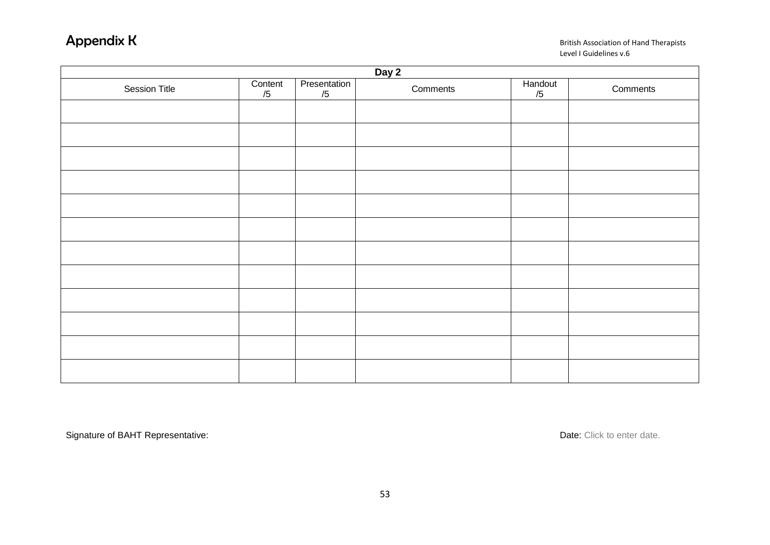### **Appendix K** British Association of Hand Therapists Level I Guidelines v.6

| Day 2         |               |                    |          |               |          |  |
|---------------|---------------|--------------------|----------|---------------|----------|--|
| Session Title | Content<br>/5 | Presentation<br>/5 | Comments | Handout<br>/5 | Comments |  |
|               |               |                    |          |               |          |  |
|               |               |                    |          |               |          |  |
|               |               |                    |          |               |          |  |
|               |               |                    |          |               |          |  |
|               |               |                    |          |               |          |  |
|               |               |                    |          |               |          |  |
|               |               |                    |          |               |          |  |
|               |               |                    |          |               |          |  |
|               |               |                    |          |               |          |  |
|               |               |                    |          |               |          |  |
|               |               |                    |          |               |          |  |
|               |               |                    |          |               |          |  |

Signature of BAHT Representative: **Date:** Click to enter date.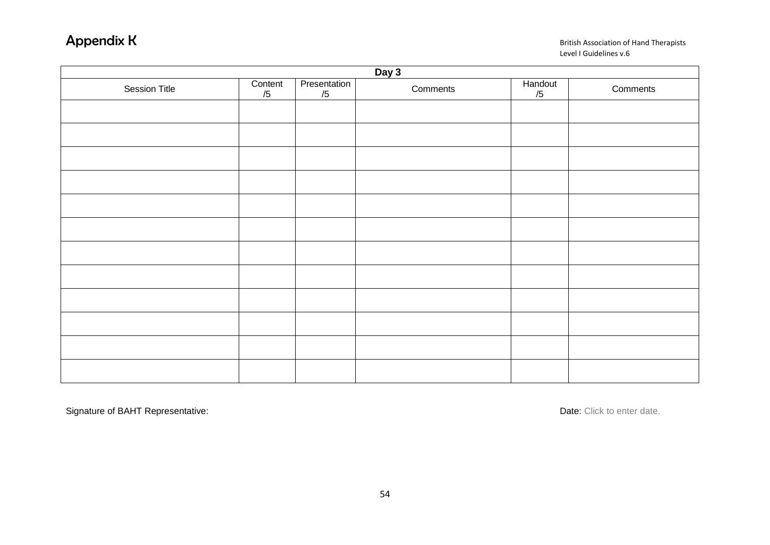### **Appendix K** British Association of Hand Therapists Level I Guidelines v.6

| Day 3                |               |                    |          |               |          |
|----------------------|---------------|--------------------|----------|---------------|----------|
| <b>Session Title</b> | Content<br>/5 | Presentation<br>/5 | Comments | Handout<br>/5 | Comments |
|                      |               |                    |          |               |          |
|                      |               |                    |          |               |          |
|                      |               |                    |          |               |          |
|                      |               |                    |          |               |          |
|                      |               |                    |          |               |          |
|                      |               |                    |          |               |          |
|                      |               |                    |          |               |          |
|                      |               |                    |          |               |          |
|                      |               |                    |          |               |          |
|                      |               |                    |          |               |          |
|                      |               |                    |          |               |          |
|                      |               |                    |          |               |          |

Signature of BAHT Representative: **Date: Click to enter date.** Date: Click to enter date.